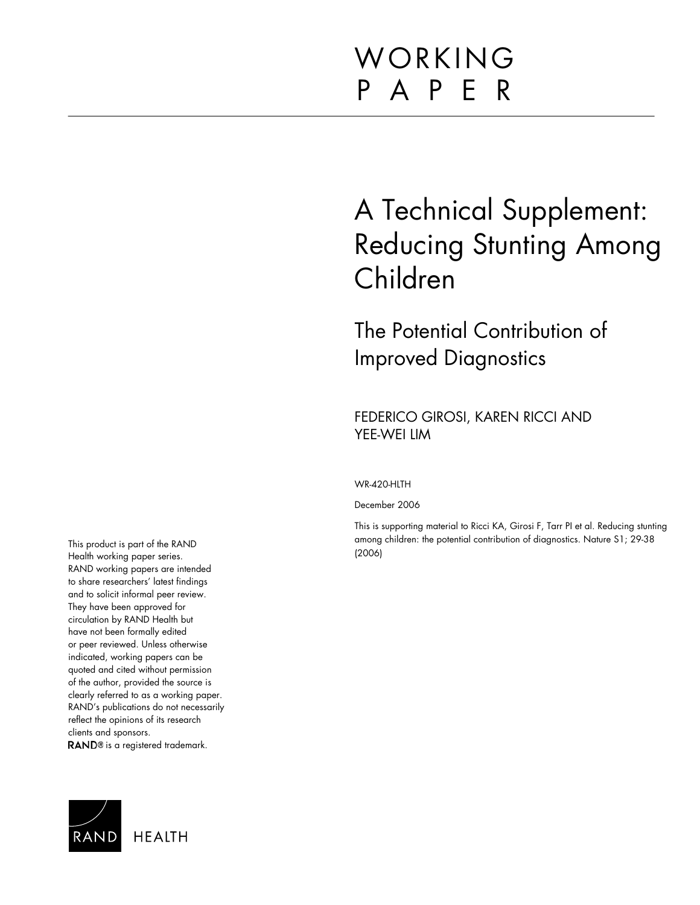# WORKING P A P E R

# A Technical Supplement: Reducing Stunting Among Children

The Potential Contribution of Improved Diagnostics

FEDERICO GIROSI, KAREN RICCI AND YEE-WEI LIM

#### WR-420-HLTH

December 2006

This is supporting material to Ricci KA, Girosi F, Tarr PI et al. Reducing stunting among children: the potential contribution of diagnostics. Nature S1; 29-38 (2006)

This product is part of the RAND Health working paper series. RAND working papers are intended to share researchers' latest findings and to solicit informal peer review. They have been approved for circulation by RAND Health but have not been formally edited or peer reviewed. Unless otherwise indicated, working papers can be quoted and cited without permission of the author, provided the source is clearly referred to as a working paper. RAND's publications do not necessarily reflect the opinions of its research clients and sponsors. RAND<sup>®</sup> is a registered trademark.

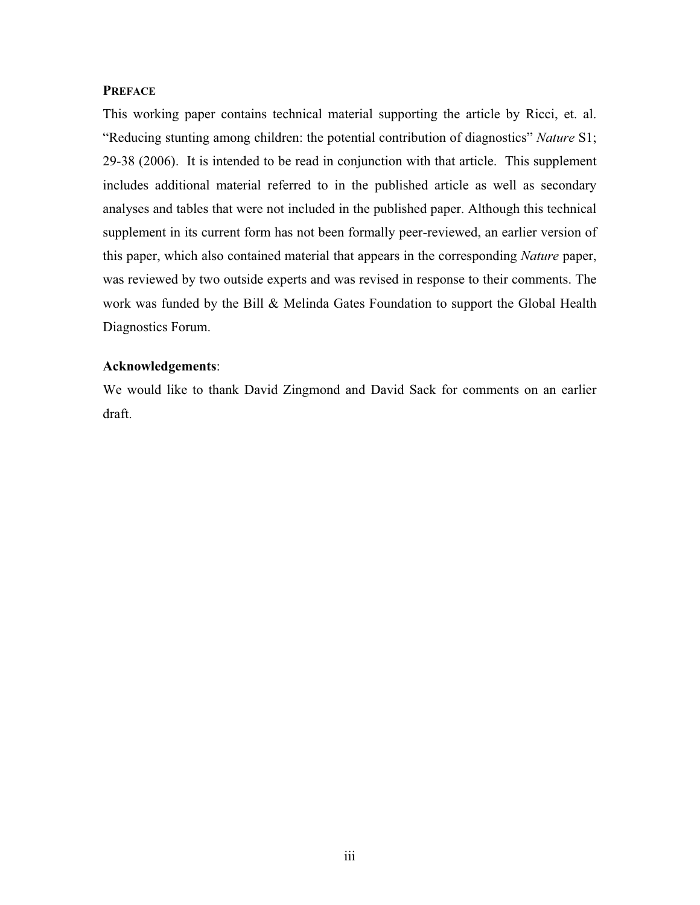# **PREFACE**

This working paper contains technical material supporting the article by Ricci, et. al. "Reducing stunting among children: the potential contribution of diagnostics" *Nature* S1; 29-38 (2006). It is intended to be read in conjunction with that article. This supplement includes additional material referred to in the published article as well as secondary analyses and tables that were not included in the published paper. Although this technical supplement in its current form has not been formally peer-reviewed, an earlier version of this paper, which also contained material that appears in the corresponding *Nature* paper, was reviewed by two outside experts and was revised in response to their comments. The work was funded by the Bill & Melinda Gates Foundation to support the Global Health Diagnostics Forum.

# **Acknowledgements**:

We would like to thank David Zingmond and David Sack for comments on an earlier draft.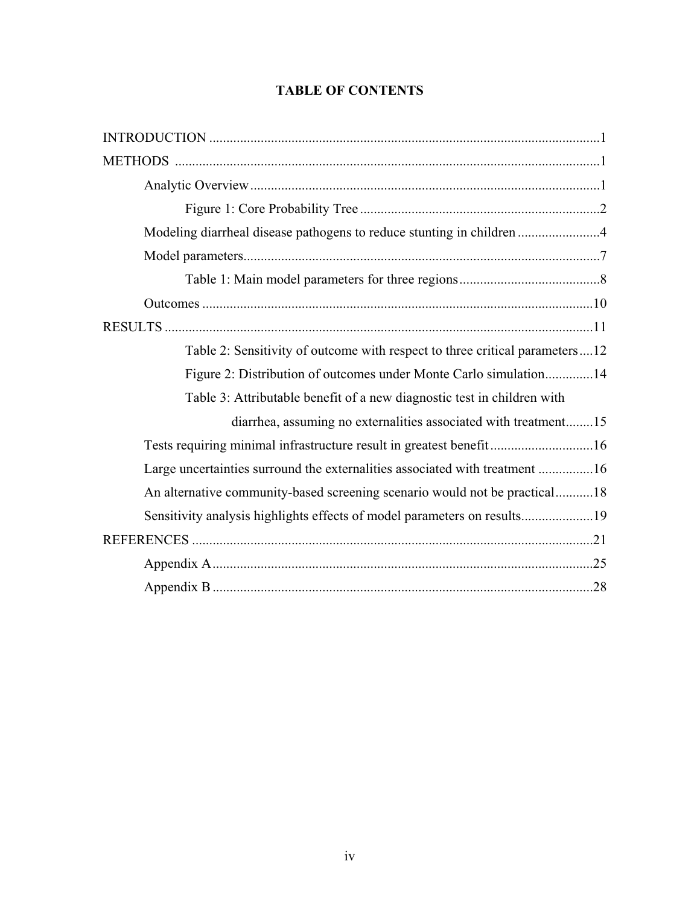# **TABLE OF CONTENTS**

| Modeling diarrheal disease pathogens to reduce stunting in children 4       |
|-----------------------------------------------------------------------------|
|                                                                             |
|                                                                             |
|                                                                             |
|                                                                             |
| Table 2: Sensitivity of outcome with respect to three critical parameters12 |
| Figure 2: Distribution of outcomes under Monte Carlo simulation14           |
| Table 3: Attributable benefit of a new diagnostic test in children with     |
| diarrhea, assuming no externalities associated with treatment15             |
| Tests requiring minimal infrastructure result in greatest benefit16         |
| Large uncertainties surround the externalities associated with treatment 16 |
| An alternative community-based screening scenario would not be practical18  |
| Sensitivity analysis highlights effects of model parameters on results19    |
|                                                                             |
|                                                                             |
|                                                                             |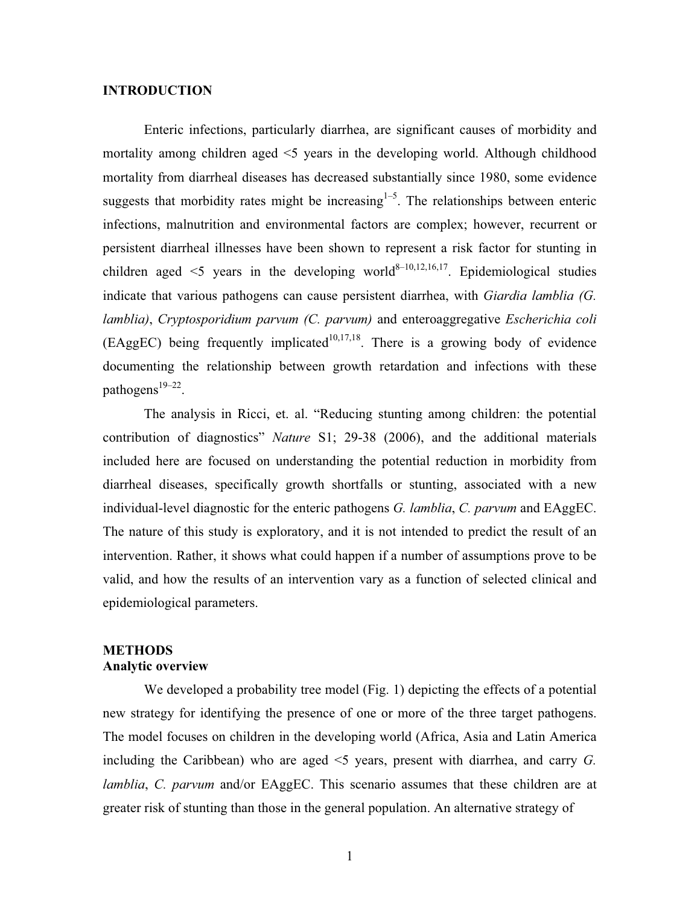# **INTRODUCTION**

Enteric infections, particularly diarrhea, are significant causes of morbidity and mortality among children aged <5 years in the developing world. Although childhood mortality from diarrheal diseases has decreased substantially since 1980, some evidence suggests that morbidity rates might be increasing<sup> $1-5$ </sup>. The relationships between enteric infections, malnutrition and environmental factors are complex; however, recurrent or persistent diarrheal illnesses have been shown to represent a risk factor for stunting in children aged  $\leq$  years in the developing world<sup>8–10,12,16,17</sup>. Epidemiological studies indicate that various pathogens can cause persistent diarrhea, with *Giardia lamblia (G. lamblia)*, *Cryptosporidium parvum (C. parvum)* and enteroaggregative *Escherichia coli*  $(EAggEC)$  being frequently implicated<sup>10,17,18</sup>. There is a growing body of evidence documenting the relationship between growth retardation and infections with these pathogens<sup>19–22</sup>.

The analysis in Ricci, et. al. "Reducing stunting among children: the potential contribution of diagnostics" *Nature* S1; 29-38 (2006), and the additional materials included here are focused on understanding the potential reduction in morbidity from diarrheal diseases, specifically growth shortfalls or stunting, associated with a new individual-level diagnostic for the enteric pathogens *G. lamblia*, *C. parvum* and EAggEC. The nature of this study is exploratory, and it is not intended to predict the result of an intervention. Rather, it shows what could happen if a number of assumptions prove to be valid, and how the results of an intervention vary as a function of selected clinical and epidemiological parameters.

# **METHODS Analytic overview**

We developed a probability tree model (Fig. 1) depicting the effects of a potential new strategy for identifying the presence of one or more of the three target pathogens. The model focuses on children in the developing world (Africa, Asia and Latin America including the Caribbean) who are aged <5 years, present with diarrhea, and carry *G. lamblia*, *C. parvum* and/or EAggEC. This scenario assumes that these children are at greater risk of stunting than those in the general population. An alternative strategy of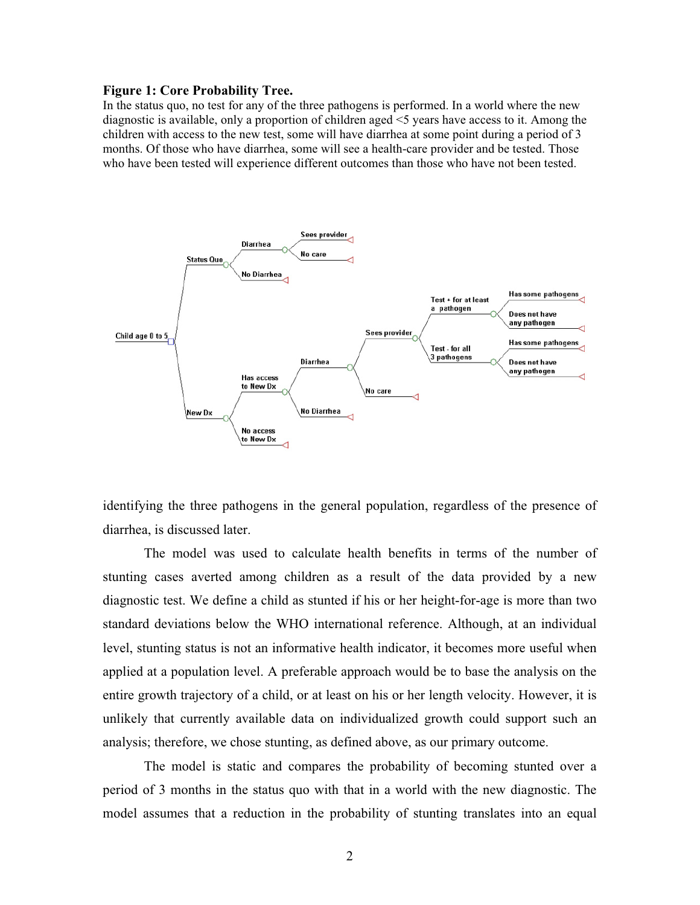#### **Figure 1: Core Probability Tree.**

In the status quo, no test for any of the three pathogens is performed. In a world where the new diagnostic is available, only a proportion of children aged <5 years have access to it. Among the children with access to the new test, some will have diarrhea at some point during a period of 3 months. Of those who have diarrhea, some will see a health-care provider and be tested. Those who have been tested will experience different outcomes than those who have not been tested.



identifying the three pathogens in the general population, regardless of the presence of diarrhea, is discussed later.

The model was used to calculate health benefits in terms of the number of stunting cases averted among children as a result of the data provided by a new diagnostic test. We define a child as stunted if his or her height-for-age is more than two standard deviations below the WHO international reference. Although, at an individual level, stunting status is not an informative health indicator, it becomes more useful when applied at a population level. A preferable approach would be to base the analysis on the entire growth trajectory of a child, or at least on his or her length velocity. However, it is unlikely that currently available data on individualized growth could support such an analysis; therefore, we chose stunting, as defined above, as our primary outcome.

The model is static and compares the probability of becoming stunted over a period of 3 months in the status quo with that in a world with the new diagnostic. The model assumes that a reduction in the probability of stunting translates into an equal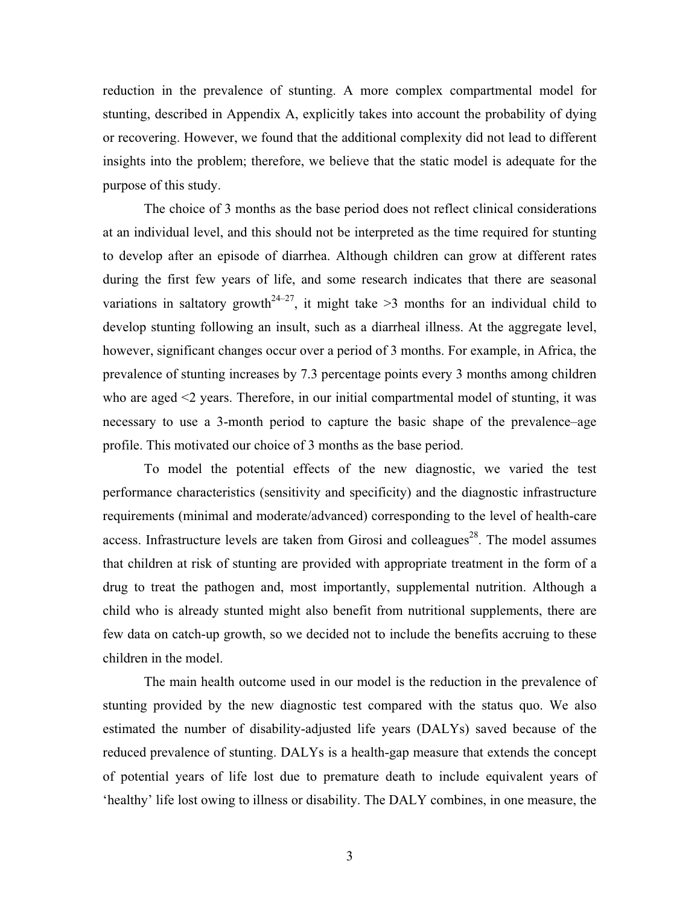reduction in the prevalence of stunting. A more complex compartmental model for stunting, described in Appendix A, explicitly takes into account the probability of dying or recovering. However, we found that the additional complexity did not lead to different insights into the problem; therefore, we believe that the static model is adequate for the purpose of this study.

The choice of 3 months as the base period does not reflect clinical considerations at an individual level, and this should not be interpreted as the time required for stunting to develop after an episode of diarrhea. Although children can grow at different rates during the first few years of life, and some research indicates that there are seasonal variations in saltatory growth<sup>24–27</sup>, it might take  $\geq$ 3 months for an individual child to develop stunting following an insult, such as a diarrheal illness. At the aggregate level, however, significant changes occur over a period of 3 months. For example, in Africa, the prevalence of stunting increases by 7.3 percentage points every 3 months among children who are aged <2 years. Therefore, in our initial compartmental model of stunting, it was necessary to use a 3-month period to capture the basic shape of the prevalence–age profile. This motivated our choice of 3 months as the base period.

To model the potential effects of the new diagnostic, we varied the test performance characteristics (sensitivity and specificity) and the diagnostic infrastructure requirements (minimal and moderate/advanced) corresponding to the level of health-care access. Infrastructure levels are taken from Girosi and colleagues<sup>28</sup>. The model assumes that children at risk of stunting are provided with appropriate treatment in the form of a drug to treat the pathogen and, most importantly, supplemental nutrition. Although a child who is already stunted might also benefit from nutritional supplements, there are few data on catch-up growth, so we decided not to include the benefits accruing to these children in the model.

The main health outcome used in our model is the reduction in the prevalence of stunting provided by the new diagnostic test compared with the status quo. We also estimated the number of disability-adjusted life years (DALYs) saved because of the reduced prevalence of stunting. DALYs is a health-gap measure that extends the concept of potential years of life lost due to premature death to include equivalent years of 'healthy' life lost owing to illness or disability. The DALY combines, in one measure, the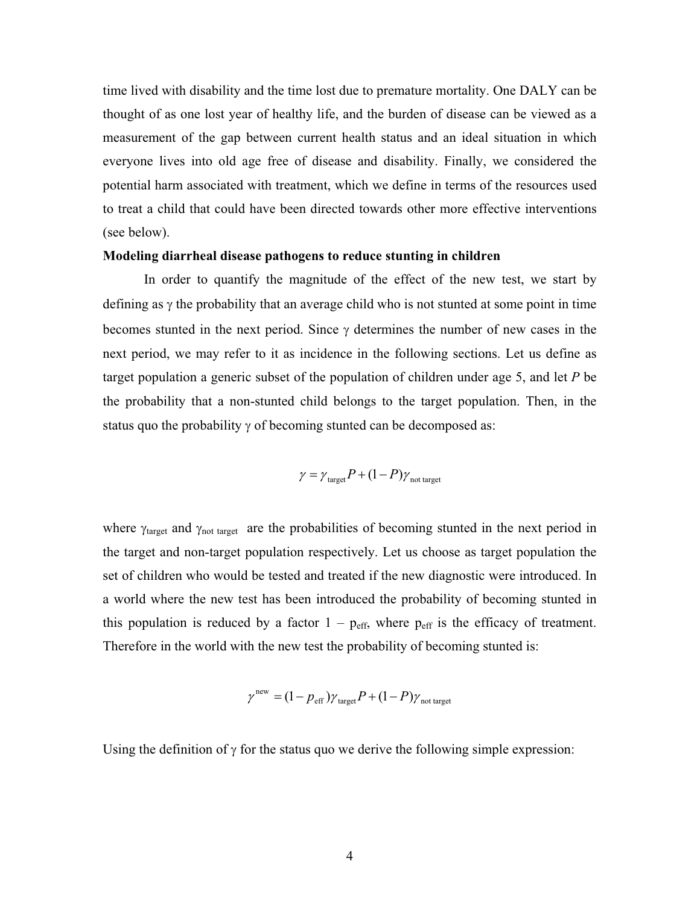time lived with disability and the time lost due to premature mortality. One DALY can be thought of as one lost year of healthy life, and the burden of disease can be viewed as a measurement of the gap between current health status and an ideal situation in which everyone lives into old age free of disease and disability. Finally, we considered the potential harm associated with treatment, which we define in terms of the resources used to treat a child that could have been directed towards other more effective interventions (see below).

#### **Modeling diarrheal disease pathogens to reduce stunting in children**

In order to quantify the magnitude of the effect of the new test, we start by defining as  $\gamma$  the probability that an average child who is not stunted at some point in time becomes stunted in the next period. Since  $\gamma$  determines the number of new cases in the next period, we may refer to it as incidence in the following sections. Let us define as target population a generic subset of the population of children under age 5, and let *P* be the probability that a non-stunted child belongs to the target population. Then, in the status quo the probability  $\gamma$  of becoming stunted can be decomposed as:

$$
\gamma = \gamma_{\text{target}} P + (1 - P) \gamma_{\text{not target}}
$$

where  $\gamma_{\text{target}}$  and  $\gamma_{\text{not target}}$  are the probabilities of becoming stunted in the next period in the target and non-target population respectively. Let us choose as target population the set of children who would be tested and treated if the new diagnostic were introduced. In a world where the new test has been introduced the probability of becoming stunted in this population is reduced by a factor  $1 - p_{\text{eff}}$ , where  $p_{\text{eff}}$  is the efficacy of treatment. Therefore in the world with the new test the probability of becoming stunted is:

$$
\gamma^{\text{new}} = (1 - p_{\text{eff}}) \gamma_{\text{target}} P + (1 - P) \gamma_{\text{not target}}
$$

Using the definition of  $\gamma$  for the status quo we derive the following simple expression: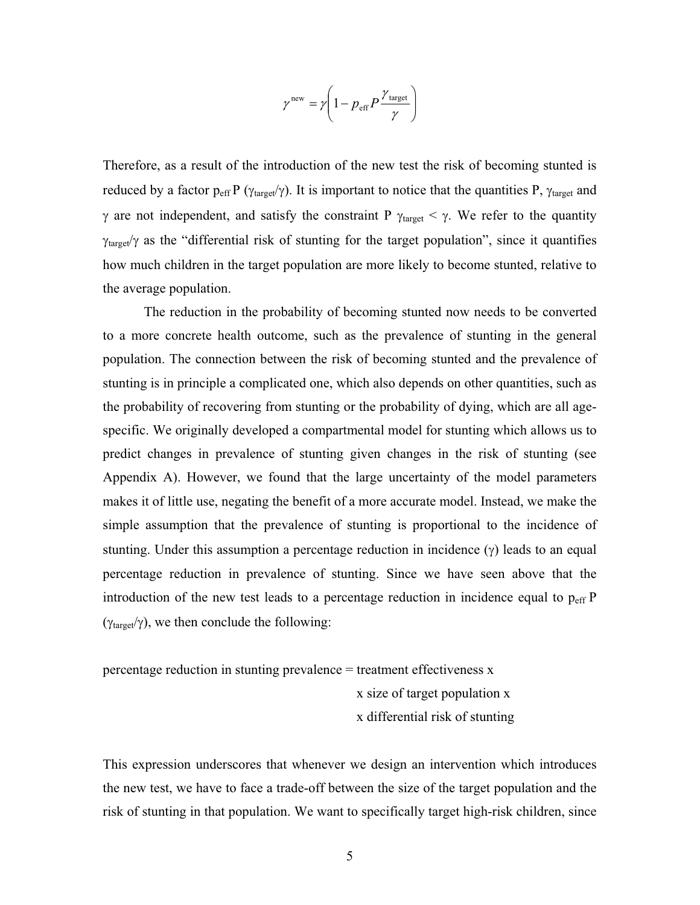$$
\gamma^{\text{new}} = \gamma \left( 1 - p_{\text{eff}} P \frac{\gamma_{\text{target}}}{\gamma} \right)
$$

Therefore, as a result of the introduction of the new test the risk of becoming stunted is reduced by a factor  $p_{eff} P (\gamma_{target} \gamma)$ . It is important to notice that the quantities P,  $\gamma_{target}$  and  $\gamma$  are not independent, and satisfy the constraint P  $\gamma_{\text{target}} < \gamma$ . We refer to the quantity  $\gamma_{\text{target}}/\gamma$  as the "differential risk of stunting for the target population", since it quantifies how much children in the target population are more likely to become stunted, relative to the average population.

The reduction in the probability of becoming stunted now needs to be converted to a more concrete health outcome, such as the prevalence of stunting in the general population. The connection between the risk of becoming stunted and the prevalence of stunting is in principle a complicated one, which also depends on other quantities, such as the probability of recovering from stunting or the probability of dying, which are all agespecific. We originally developed a compartmental model for stunting which allows us to predict changes in prevalence of stunting given changes in the risk of stunting (see Appendix A). However, we found that the large uncertainty of the model parameters makes it of little use, negating the benefit of a more accurate model. Instead, we make the simple assumption that the prevalence of stunting is proportional to the incidence of stunting. Under this assumption a percentage reduction in incidence  $(\gamma)$  leads to an equal percentage reduction in prevalence of stunting. Since we have seen above that the introduction of the new test leads to a percentage reduction in incidence equal to  $p_{\text{eff}}$  P  $(\gamma_{\text{target}}/\gamma)$ , we then conclude the following:

percentage reduction in stunting prevalence = treatment effectiveness x

 x size of target population x x differential risk of stunting

This expression underscores that whenever we design an intervention which introduces the new test, we have to face a trade-off between the size of the target population and the risk of stunting in that population. We want to specifically target high-risk children, since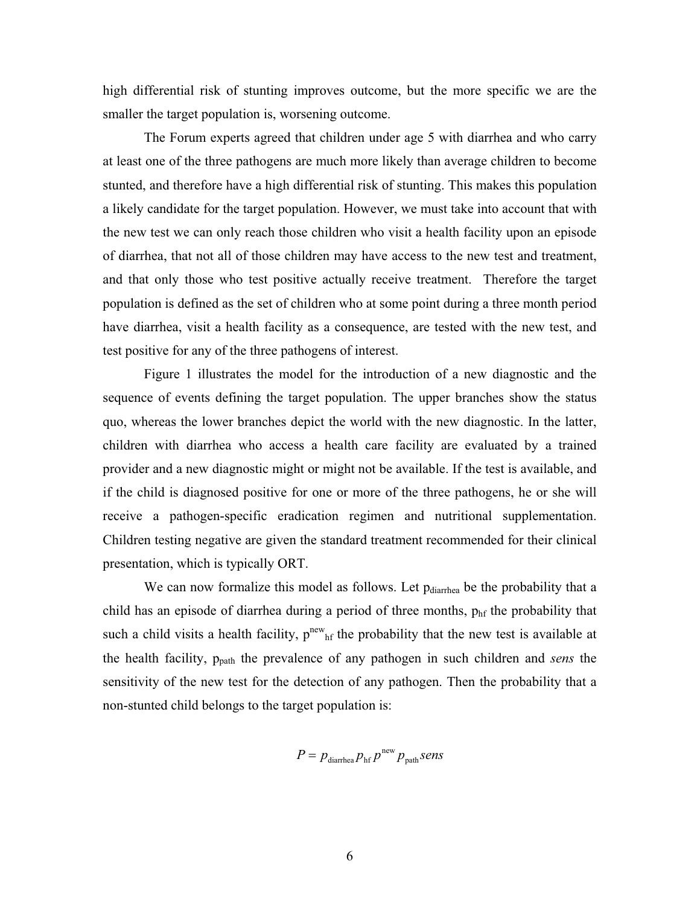high differential risk of stunting improves outcome, but the more specific we are the smaller the target population is, worsening outcome.

The Forum experts agreed that children under age 5 with diarrhea and who carry at least one of the three pathogens are much more likely than average children to become stunted, and therefore have a high differential risk of stunting. This makes this population a likely candidate for the target population. However, we must take into account that with the new test we can only reach those children who visit a health facility upon an episode of diarrhea, that not all of those children may have access to the new test and treatment, and that only those who test positive actually receive treatment. Therefore the target population is defined as the set of children who at some point during a three month period have diarrhea, visit a health facility as a consequence, are tested with the new test, and test positive for any of the three pathogens of interest.

Figure 1 illustrates the model for the introduction of a new diagnostic and the sequence of events defining the target population. The upper branches show the status quo, whereas the lower branches depict the world with the new diagnostic. In the latter, children with diarrhea who access a health care facility are evaluated by a trained provider and a new diagnostic might or might not be available. If the test is available, and if the child is diagnosed positive for one or more of the three pathogens, he or she will receive a pathogen-specific eradication regimen and nutritional supplementation. Children testing negative are given the standard treatment recommended for their clinical presentation, which is typically ORT.

We can now formalize this model as follows. Let p<sub>diarrhea</sub> be the probability that a child has an episode of diarrhea during a period of three months,  $p<sub>hf</sub>$  the probability that such a child visits a health facility,  $p^{new}$ <sub>hf</sub> the probability that the new test is available at the health facility, ppath the prevalence of any pathogen in such children and *sens* the sensitivity of the new test for the detection of any pathogen. Then the probability that a non-stunted child belongs to the target population is:

$$
P = p_{\text{diarhea}} p_{\text{hf}} p^{\text{new}} p_{\text{path}} sens
$$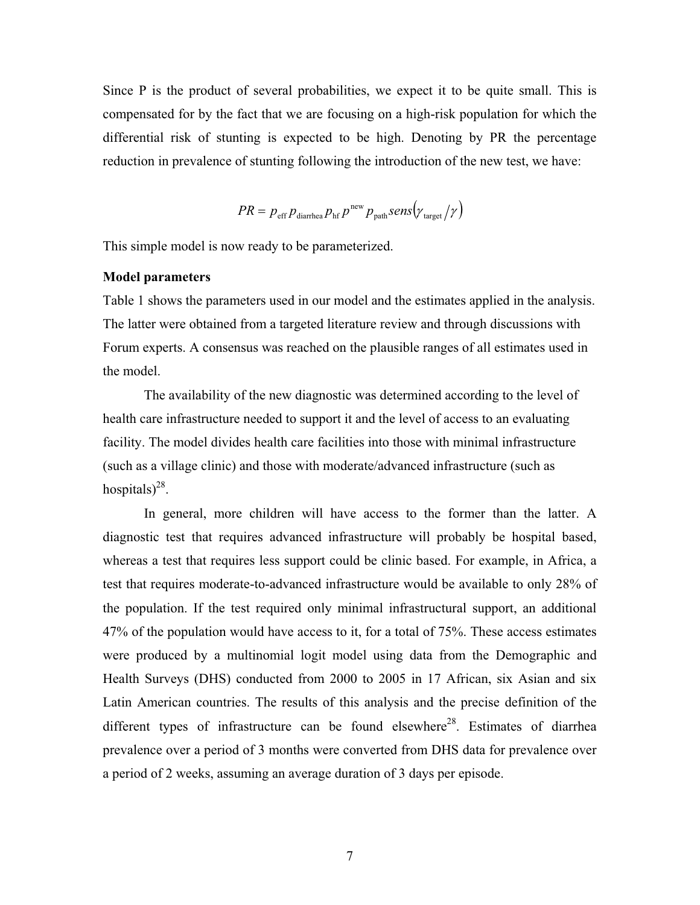Since P is the product of several probabilities, we expect it to be quite small. This is compensated for by the fact that we are focusing on a high-risk population for which the differential risk of stunting is expected to be high. Denoting by PR the percentage reduction in prevalence of stunting following the introduction of the new test, we have:

$$
PR = p_{\text{eff}} p_{\text{diarhea}} p_{\text{hf}} p^{\text{new}} p_{\text{path}} \text{sens} (y_{\text{target}} / y)
$$

This simple model is now ready to be parameterized.

# **Model parameters**

Table 1 shows the parameters used in our model and the estimates applied in the analysis. The latter were obtained from a targeted literature review and through discussions with Forum experts. A consensus was reached on the plausible ranges of all estimates used in the model.

The availability of the new diagnostic was determined according to the level of health care infrastructure needed to support it and the level of access to an evaluating facility. The model divides health care facilities into those with minimal infrastructure (such as a village clinic) and those with moderate/advanced infrastructure (such as hospitals)<sup>28</sup>.

In general, more children will have access to the former than the latter. A diagnostic test that requires advanced infrastructure will probably be hospital based, whereas a test that requires less support could be clinic based. For example, in Africa, a test that requires moderate-to-advanced infrastructure would be available to only 28% of the population. If the test required only minimal infrastructural support, an additional 47% of the population would have access to it, for a total of 75%. These access estimates were produced by a multinomial logit model using data from the Demographic and Health Surveys (DHS) conducted from 2000 to 2005 in 17 African, six Asian and six Latin American countries. The results of this analysis and the precise definition of the different types of infrastructure can be found elsewhere<sup>28</sup>. Estimates of diarrhea prevalence over a period of 3 months were converted from DHS data for prevalence over a period of 2 weeks, assuming an average duration of 3 days per episode.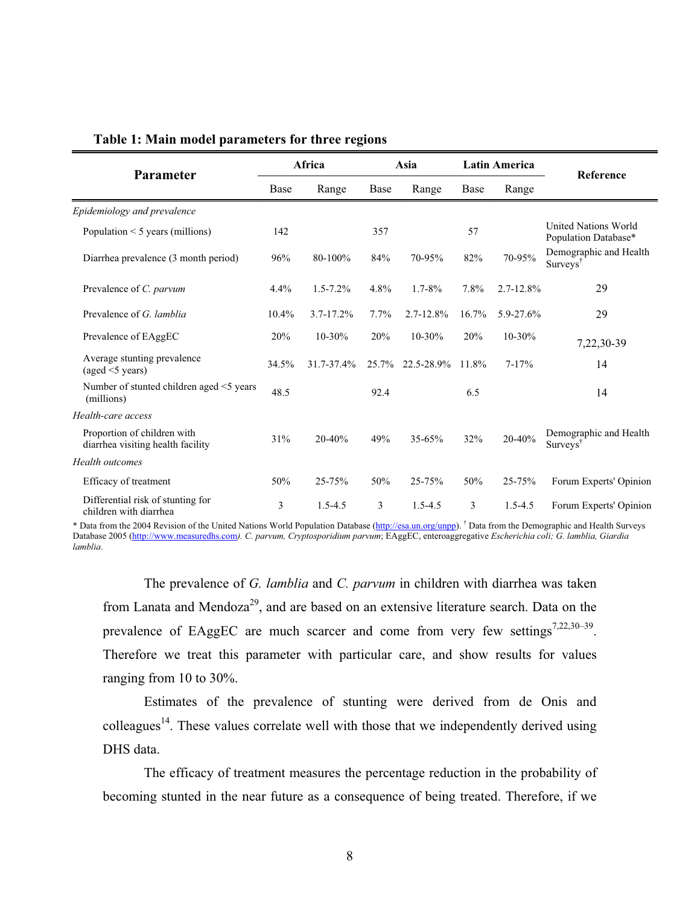|                                                                  | Africa |                | Asia    |                  | <b>Latin America</b> |                |                                                            |  |
|------------------------------------------------------------------|--------|----------------|---------|------------------|----------------------|----------------|------------------------------------------------------------|--|
| Parameter<br>Base                                                |        | Range          | Base    | Range            | Base                 | Range          | Reference                                                  |  |
| Epidemiology and prevalence                                      |        |                |         |                  |                      |                |                                                            |  |
| Population $\leq$ 5 years (millions)                             | 142    |                | 357     |                  | 57                   |                | United Nations World<br>Population Database*               |  |
| Diarrhea prevalence (3 month period)                             | 96%    | 80-100%        | 84%     | 70-95%           | 82%                  | 70-95%         | Demographic and Health<br>$Surv$ <sub>s</sub> <sup>†</sup> |  |
| Prevalence of C. parvum                                          | 4.4%   | $1.5 - 7.2\%$  | 4.8%    | $1.7 - 8\%$      | 7.8%                 | $2.7 - 12.8\%$ | 29                                                         |  |
| Prevalence of G. lamblia                                         | 10.4%  | $3.7 - 17.2\%$ | $7.7\%$ | $2.7 - 12.8\%$   | 16.7%                | 5.9-27.6%      | 29                                                         |  |
| Prevalence of EAggEC                                             | 20%    | $10 - 30\%$    | 20%     | $10 - 30%$       | 20%                  | $10 - 30%$     | 7,22,30-39                                                 |  |
| Average stunting prevalence<br>(aged < 5 years)                  | 34.5%  | 31.7-37.4%     |         | 25.7% 22.5-28.9% | 11.8%                | $7 - 17%$      | 14                                                         |  |
| Number of stunted children aged <5 years<br>(millions)           | 48.5   |                | 92.4    |                  | 6.5                  |                | 14                                                         |  |
| Health-care access                                               |        |                |         |                  |                      |                |                                                            |  |
| Proportion of children with<br>diarrhea visiting health facility | 31%    | 20-40%         | 49%     | $35 - 65%$       | 32%                  | 20-40%         | Demographic and Health<br>Surveys <sup>T</sup>             |  |
| <b>Health</b> outcomes                                           |        |                |         |                  |                      |                |                                                            |  |
| Efficacy of treatment                                            | 50%    | $25 - 75%$     | 50%     | 25-75%           | 50%                  | 25-75%         | Forum Experts' Opinion                                     |  |
| Differential risk of stunting for<br>children with diarrhea      | 3      | $1.5 - 4.5$    | 3       | $1.5 - 4.5$      | 3                    | $1.5 - 4.5$    | Forum Experts' Opinion                                     |  |

# **Table 1: Main model parameters for three regions**

\* Data from the 2004 Revision of the United Nations World Population Database (http://esa.un.org/unpp). † Data from the Demographic and Health Surveys Database 2005 (http://www.measuredhs.com*). C. parvum, Cryptosporidium parvum*; EAggEC, enteroaggregative *Escherichia coli; G. lamblia, Giardia lamblia*.

The prevalence of *G. lamblia* and *C. parvum* in children with diarrhea was taken from Lanata and Mendoza<sup>29</sup>, and are based on an extensive literature search. Data on the prevalence of EAggEC are much scarcer and come from very few settings<sup>7,22,30–39</sup>. Therefore we treat this parameter with particular care, and show results for values ranging from 10 to 30%.

Estimates of the prevalence of stunting were derived from de Onis and colleagues<sup>14</sup>. These values correlate well with those that we independently derived using DHS data.

The efficacy of treatment measures the percentage reduction in the probability of becoming stunted in the near future as a consequence of being treated. Therefore, if we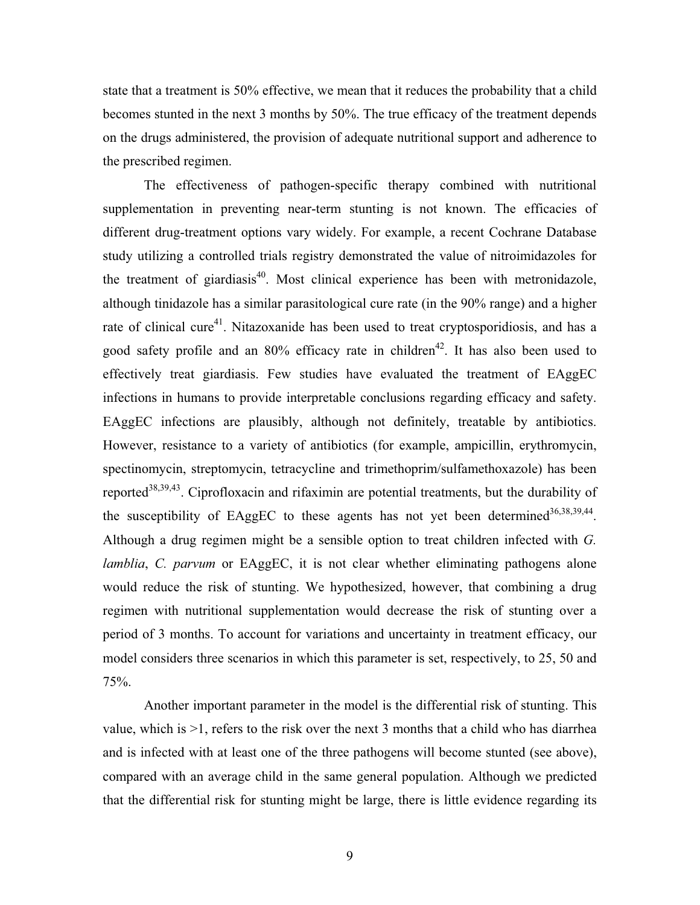state that a treatment is 50% effective, we mean that it reduces the probability that a child becomes stunted in the next 3 months by 50%. The true efficacy of the treatment depends on the drugs administered, the provision of adequate nutritional support and adherence to the prescribed regimen.

The effectiveness of pathogen-specific therapy combined with nutritional supplementation in preventing near-term stunting is not known. The efficacies of different drug-treatment options vary widely. For example, a recent Cochrane Database study utilizing a controlled trials registry demonstrated the value of nitroimidazoles for the treatment of giardiasis<sup>40</sup>. Most clinical experience has been with metronidazole, although tinidazole has a similar parasitological cure rate (in the 90% range) and a higher rate of clinical cure<sup>41</sup>. Nitazoxanide has been used to treat cryptosporidiosis, and has a good safety profile and an 80% efficacy rate in children<sup>42</sup>. It has also been used to effectively treat giardiasis. Few studies have evaluated the treatment of EAggEC infections in humans to provide interpretable conclusions regarding efficacy and safety. EAggEC infections are plausibly, although not definitely, treatable by antibiotics. However, resistance to a variety of antibiotics (for example, ampicillin, erythromycin, spectinomycin, streptomycin, tetracycline and trimethoprim/sulfamethoxazole) has been reported<sup>38,39,43</sup>. Ciprofloxacin and rifaximin are potential treatments, but the durability of the susceptibility of EAggEC to these agents has not vet been determined  $36,38,39,44$ . Although a drug regimen might be a sensible option to treat children infected with *G. lamblia*, *C. parvum* or EAggEC, it is not clear whether eliminating pathogens alone would reduce the risk of stunting. We hypothesized, however, that combining a drug regimen with nutritional supplementation would decrease the risk of stunting over a period of 3 months. To account for variations and uncertainty in treatment efficacy, our model considers three scenarios in which this parameter is set, respectively, to 25, 50 and 75%.

Another important parameter in the model is the differential risk of stunting. This value, which is >1, refers to the risk over the next 3 months that a child who has diarrhea and is infected with at least one of the three pathogens will become stunted (see above), compared with an average child in the same general population. Although we predicted that the differential risk for stunting might be large, there is little evidence regarding its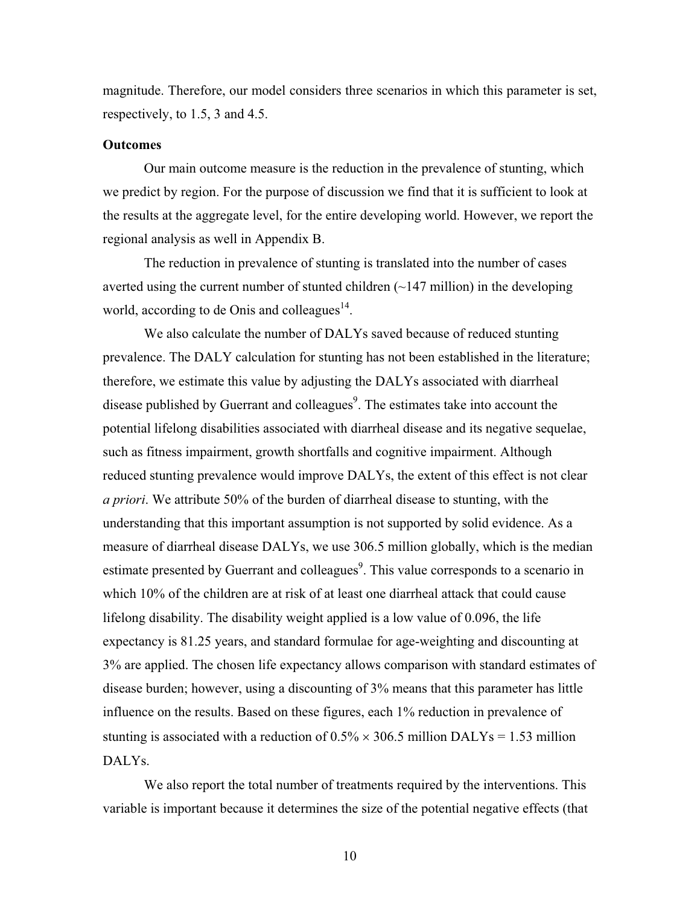magnitude. Therefore, our model considers three scenarios in which this parameter is set, respectively, to 1.5, 3 and 4.5.

# **Outcomes**

Our main outcome measure is the reduction in the prevalence of stunting, which we predict by region. For the purpose of discussion we find that it is sufficient to look at the results at the aggregate level, for the entire developing world. However, we report the regional analysis as well in Appendix B.

The reduction in prevalence of stunting is translated into the number of cases averted using the current number of stunted children  $(\sim 147 \text{ million})$  in the developing world, according to de Onis and colleagues $^{14}$ .

We also calculate the number of DALYs saved because of reduced stunting prevalence. The DALY calculation for stunting has not been established in the literature; therefore, we estimate this value by adjusting the DALYs associated with diarrheal disease published by Guerrant and colleagues<sup>9</sup>. The estimates take into account the potential lifelong disabilities associated with diarrheal disease and its negative sequelae, such as fitness impairment, growth shortfalls and cognitive impairment. Although reduced stunting prevalence would improve DALYs, the extent of this effect is not clear *a priori*. We attribute 50% of the burden of diarrheal disease to stunting, with the understanding that this important assumption is not supported by solid evidence. As a measure of diarrheal disease DALYs, we use 306.5 million globally, which is the median estimate presented by Guerrant and colleagues<sup>9</sup>. This value corresponds to a scenario in which 10% of the children are at risk of at least one diarrheal attack that could cause lifelong disability. The disability weight applied is a low value of 0.096, the life expectancy is 81.25 years, and standard formulae for age-weighting and discounting at 3% are applied. The chosen life expectancy allows comparison with standard estimates of disease burden; however, using a discounting of 3% means that this parameter has little influence on the results. Based on these figures, each 1% reduction in prevalence of stunting is associated with a reduction of  $0.5\% \times 306.5$  million DALYs = 1.53 million DALYs.

We also report the total number of treatments required by the interventions. This variable is important because it determines the size of the potential negative effects (that

10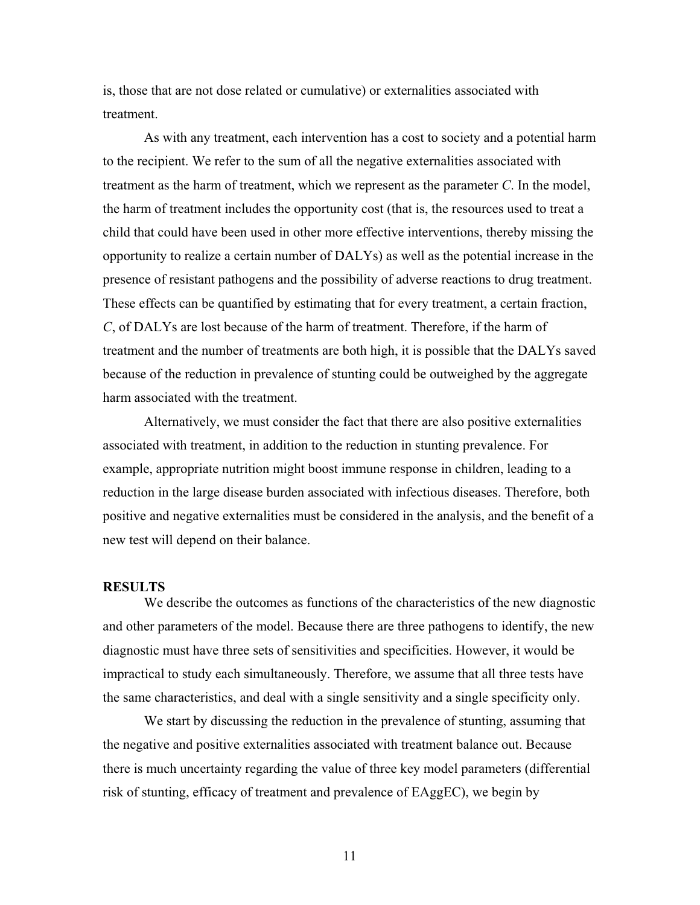is, those that are not dose related or cumulative) or externalities associated with treatment.

As with any treatment, each intervention has a cost to society and a potential harm to the recipient. We refer to the sum of all the negative externalities associated with treatment as the harm of treatment, which we represent as the parameter *C*. In the model, the harm of treatment includes the opportunity cost (that is, the resources used to treat a child that could have been used in other more effective interventions, thereby missing the opportunity to realize a certain number of DALYs) as well as the potential increase in the presence of resistant pathogens and the possibility of adverse reactions to drug treatment. These effects can be quantified by estimating that for every treatment, a certain fraction, *C*, of DALYs are lost because of the harm of treatment. Therefore, if the harm of treatment and the number of treatments are both high, it is possible that the DALYs saved because of the reduction in prevalence of stunting could be outweighed by the aggregate harm associated with the treatment.

Alternatively, we must consider the fact that there are also positive externalities associated with treatment, in addition to the reduction in stunting prevalence. For example, appropriate nutrition might boost immune response in children, leading to a reduction in the large disease burden associated with infectious diseases. Therefore, both positive and negative externalities must be considered in the analysis, and the benefit of a new test will depend on their balance.

# **RESULTS**

We describe the outcomes as functions of the characteristics of the new diagnostic and other parameters of the model. Because there are three pathogens to identify, the new diagnostic must have three sets of sensitivities and specificities. However, it would be impractical to study each simultaneously. Therefore, we assume that all three tests have the same characteristics, and deal with a single sensitivity and a single specificity only.

We start by discussing the reduction in the prevalence of stunting, assuming that the negative and positive externalities associated with treatment balance out. Because there is much uncertainty regarding the value of three key model parameters (differential risk of stunting, efficacy of treatment and prevalence of EAggEC), we begin by

11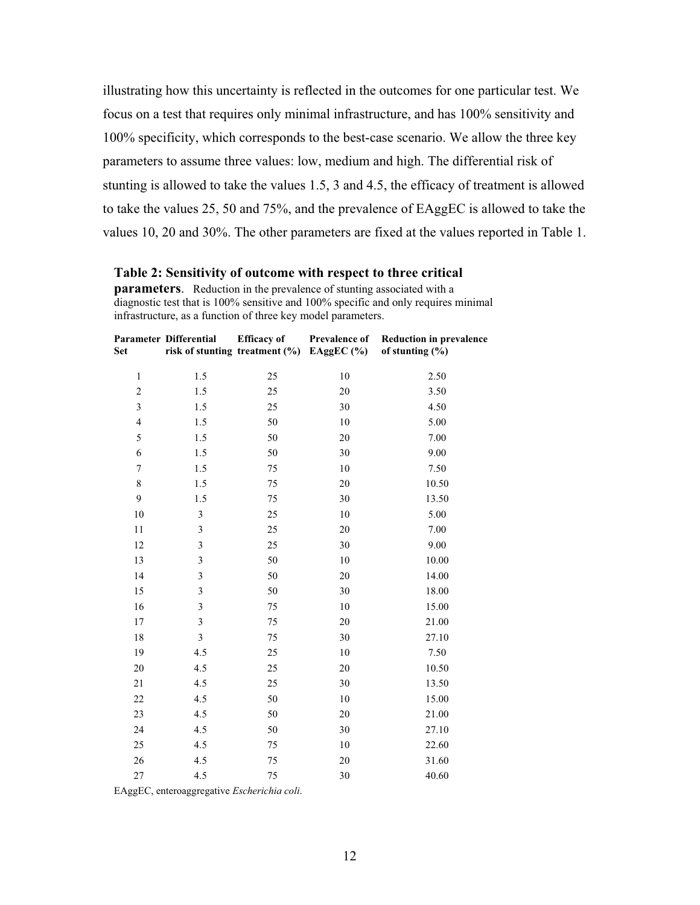illustrating how this uncertainty is reflected in the outcomes for one particular test. We focus on a test that requires only minimal infrastructure, and has 100% sensitivity and 100% specificity, which corresponds to the best-case scenario. We allow the three key parameters to assume three values: low, medium and high. The differential risk of stunting is allowed to take the values 1.5, 3 and 4.5, the efficacy of treatment is allowed to take the values 25, 50 and 75%, and the prevalence of EAggEC is allowed to take the values 10, 20 and 30%. The other parameters are fixed at the values reported in Table 1.

#### **Table 2: Sensitivity of outcome with respect to three critical**

**parameters**. Reduction in the prevalence of stunting associated with a diagnostic test that is 100% sensitive and 100% specific and only requires minimal infrastructure, as a function of three key model parameters.

| Set                      | Parameter Differential  | <b>Efficacy</b> of<br>risk of stunting treatment (%) EAggEC (%) | Prevalence of | <b>Reduction in prevalence</b><br>of stunting $(\% )$ |
|--------------------------|-------------------------|-----------------------------------------------------------------|---------------|-------------------------------------------------------|
| $\,1\,$                  | 1.5                     | 25                                                              | 10            | 2.50                                                  |
| $\overline{\mathbf{c}}$  | $1.5\,$                 | 25                                                              | 20            | 3.50                                                  |
| 3                        | 1.5                     | 25                                                              | 30            | 4.50                                                  |
| $\overline{\mathcal{L}}$ | 1.5                     | 50                                                              | 10            | 5.00                                                  |
| 5                        | 1.5                     | 50                                                              | 20            | 7.00                                                  |
| 6                        | 1.5                     | 50                                                              | 30            | 9.00                                                  |
| 7                        | 1.5                     | 75                                                              | 10            | 7.50                                                  |
| $\,$ 8 $\,$              | 1.5                     | 75                                                              | 20            | 10.50                                                 |
| 9                        | 1.5                     | 75                                                              | 30            | 13.50                                                 |
| 10                       | $\mathfrak{Z}$          | 25                                                              | 10            | 5.00                                                  |
| 11                       | 3                       | 25                                                              | 20            | 7.00                                                  |
| 12                       | 3                       | 25                                                              | 30            | 9.00                                                  |
| 13                       | 3                       | 50                                                              | 10            | 10.00                                                 |
| 14                       | $\mathfrak{Z}$          | 50                                                              | 20            | 14.00                                                 |
| 15                       | $\overline{3}$          | 50                                                              | 30            | 18.00                                                 |
| 16                       | $\overline{\mathbf{3}}$ | 75                                                              | 10            | 15.00                                                 |
| 17                       | $\mathfrak{Z}$          | 75                                                              | 20            | 21.00                                                 |
| 18                       | $\overline{3}$          | 75                                                              | 30            | 27.10                                                 |
| 19                       | 4.5                     | 25                                                              | 10            | 7.50                                                  |
| 20                       | 4.5                     | 25                                                              | 20            | 10.50                                                 |
| 21                       | 4.5                     | 25                                                              | 30            | 13.50                                                 |
| 22                       | 4.5                     | 50                                                              | 10            | 15.00                                                 |
| 23                       | 4.5                     | 50                                                              | 20            | 21.00                                                 |
| 24                       | 4.5                     | 50                                                              | 30            | 27.10                                                 |
| 25                       | 4.5                     | 75                                                              | 10            | 22.60                                                 |
| 26                       | 4.5                     | 75                                                              | 20            | 31.60                                                 |
| 27                       | 4.5                     | 75                                                              | 30            | 40.60                                                 |

EAggEC, enteroaggregative *Escherichia coli*.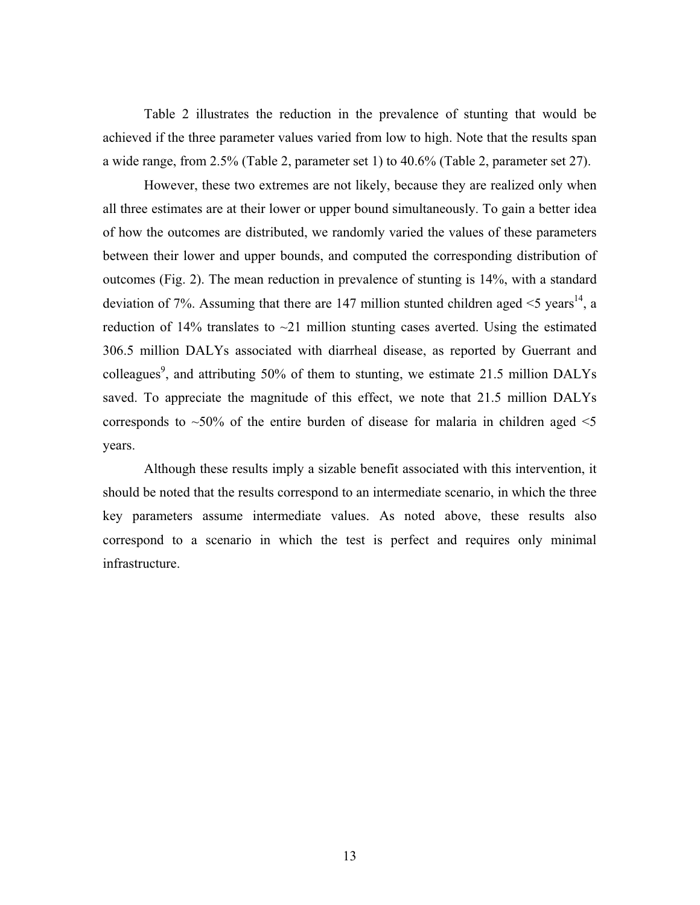Table 2 illustrates the reduction in the prevalence of stunting that would be achieved if the three parameter values varied from low to high. Note that the results span a wide range, from 2.5% (Table 2, parameter set 1) to 40.6% (Table 2, parameter set 27).

However, these two extremes are not likely, because they are realized only when all three estimates are at their lower or upper bound simultaneously. To gain a better idea of how the outcomes are distributed, we randomly varied the values of these parameters between their lower and upper bounds, and computed the corresponding distribution of outcomes (Fig. 2). The mean reduction in prevalence of stunting is 14%, with a standard deviation of 7%. Assuming that there are 147 million stunted children aged  $\leq$  years<sup>14</sup>, a reduction of 14% translates to  $\sim$ 21 million stunting cases averted. Using the estimated 306.5 million DALYs associated with diarrheal disease, as reported by Guerrant and colleagues<sup>9</sup>, and attributing 50% of them to stunting, we estimate 21.5 million DALYs saved. To appreciate the magnitude of this effect, we note that 21.5 million DALYs corresponds to  $\sim$ 50% of the entire burden of disease for malaria in children aged  $\le$ 5 years.

Although these results imply a sizable benefit associated with this intervention, it should be noted that the results correspond to an intermediate scenario, in which the three key parameters assume intermediate values. As noted above, these results also correspond to a scenario in which the test is perfect and requires only minimal infrastructure.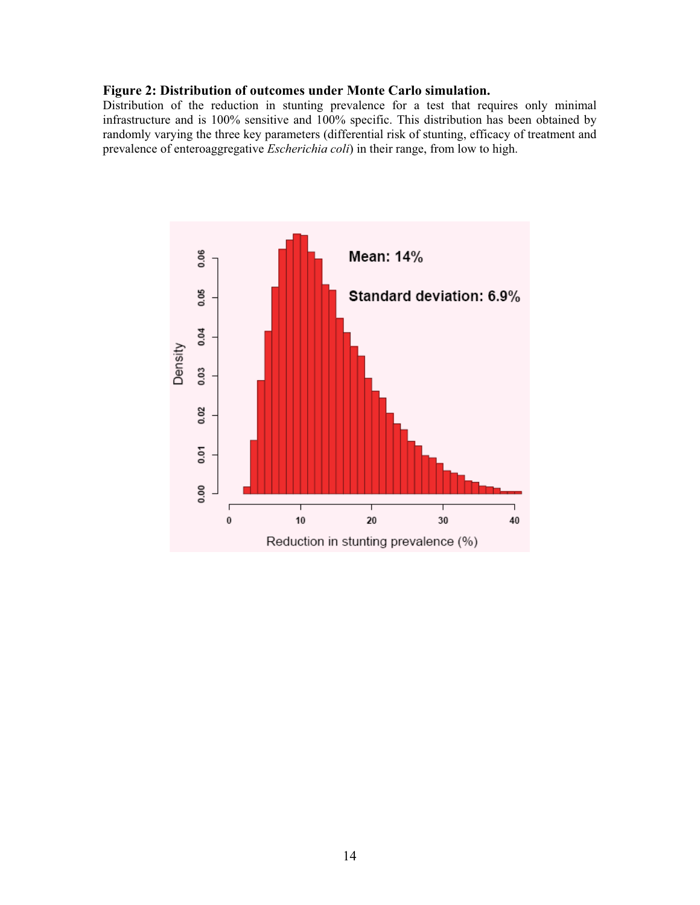# **Figure 2: Distribution of outcomes under Monte Carlo simulation.**

Distribution of the reduction in stunting prevalence for a test that requires only minimal infrastructure and is 100% sensitive and 100% specific. This distribution has been obtained by randomly varying the three key parameters (differential risk of stunting, efficacy of treatment and prevalence of enteroaggregative *Escherichia coli*) in their range, from low to high.

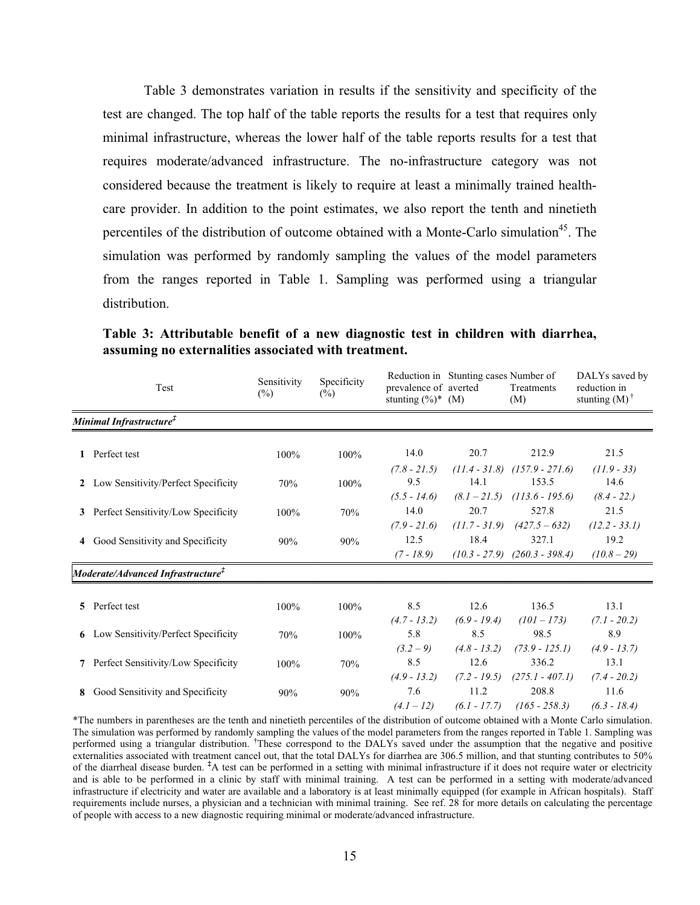Table 3 demonstrates variation in results if the sensitivity and specificity of the test are changed. The top half of the table reports the results for a test that requires only minimal infrastructure, whereas the lower half of the table reports results for a test that requires moderate/advanced infrastructure. The no-infrastructure category was not considered because the treatment is likely to require at least a minimally trained healthcare provider. In addition to the point estimates, we also report the tenth and ninetieth percentiles of the distribution of outcome obtained with a Monte-Carlo simulation<sup>45</sup>. The simulation was performed by randomly sampling the values of the model parameters from the ranges reported in Table 1. Sampling was performed using a triangular distribution.

|   | Test                                             | Sensitivity<br>$(\%)$ | Specificity<br>$(\%)$ | prevalence of averted<br>stunting $(\%)^*$ (M) | Reduction in Stunting cases Number of     | Treatments<br>(M)                               | DALYs saved by<br>reduction in<br>stunting $(M)$ <sup>†</sup> |
|---|--------------------------------------------------|-----------------------|-----------------------|------------------------------------------------|-------------------------------------------|-------------------------------------------------|---------------------------------------------------------------|
|   | Minimal Infrastructure <sup>‡</sup>              |                       |                       |                                                |                                           |                                                 |                                                               |
|   | Perfect test                                     | 100%                  | 100%                  | 14.0                                           | 20.7                                      | 212.9                                           | 21.5                                                          |
|   | 2 Low Sensitivity/Perfect Specificity            | 70%                   | 100%                  | $(7.8 - 21.5)$<br>9.5<br>$(5.5 - 14.6)$        | $(11.4 - 31.8)$<br>14.1<br>$(8.1 - 21.5)$ | $(157.9 - 271.6)$<br>153.5<br>$(113.6 - 195.6)$ | $(11.9 - 33)$<br>14.6<br>$(8.4 - 22.)$                        |
|   | 3 Perfect Sensitivity/Low Specificity            | 100%                  | 70%                   | 14.0<br>$(7.9 - 21.6)$                         | 20.7                                      | 527.8<br>$(11.7 - 31.9)$ $(427.5 - 632)$        | 21.5<br>$(12.2 - 33.1)$                                       |
|   | 4 Good Sensitivity and Specificity               | 90%                   | 90%                   | 12.5<br>$(7 - 18.9)$                           | 18.4                                      | 327.1<br>$(10.3 - 27.9)$ $(260.3 - 398.4)$      | 19.2<br>$(10.8 - 29)$                                         |
|   | Moderate/Advanced Infrastructure ${}^{\ddagger}$ |                       |                       |                                                |                                           |                                                 |                                                               |
|   | 5 Perfect test                                   | 100%                  | 100%                  | 8.5<br>$(4.7 - 13.2)$                          | 12.6<br>$(6.9 - 19.4)$                    | 136.5<br>$(101 - 173)$                          | 13.1<br>$(7.1 - 20.2)$                                        |
|   | <b>6</b> Low Sensitivity/Perfect Specificity     | 70%                   | 100%                  | 5.8<br>$(3.2 - 9)$                             | 8.5<br>$(4.8 - 13.2)$                     | 98.5<br>$(73.9 - 125.1)$                        | 8.9<br>$(4.9 - 13.7)$                                         |
|   | 7 Perfect Sensitivity/Low Specificity            | 100%                  | 70%                   | 8.5<br>$(4.9 - 13.2)$                          | 12.6<br>$(7.2 - 19.5)$                    | 336.2<br>$(275.1 - 407.1)$                      | 13.1<br>$(7.4 - 20.2)$                                        |
| 8 | Good Sensitivity and Specificity                 | 90%                   | 90%                   | 7.6<br>$(4.1 - 12)$                            | 11.2<br>$(6.1 - 17.7)$                    | 208.8<br>$(165 - 258.3)$                        | 11.6<br>$(6.3 - 18.4)$                                        |

**Table 3: Attributable benefit of a new diagnostic test in children with diarrhea, assuming no externalities associated with treatment.** 

\*The numbers in parentheses are the tenth and ninetieth percentiles of the distribution of outcome obtained with a Monte Carlo simulation. The simulation was performed by randomly sampling the values of the model parameters from the ranges reported in Table 1. Sampling was performed using a triangular distribution. **†** These correspond to the DALYs saved under the assumption that the negative and positive externalities associated with treatment cancel out, that the total DALYs for diarrhea are 306.5 million, and that stunting contributes to 50% of the diarrheal disease burden. <sup>‡</sup>A test can be performed in a setting with minimal infrastructure if it does not require water or electricity and is able to be performed in a clinic by staff with minimal training. A test can be performed in a setting with moderate/advanced infrastructure if electricity and water are available and a laboratory is at least minimally equipped (for example in African hospitals). Staff requirements include nurses, a physician and a technician with minimal training. See ref. 28 for more details on calculating the percentage of people with access to a new diagnostic requiring minimal or moderate/advanced infrastructure.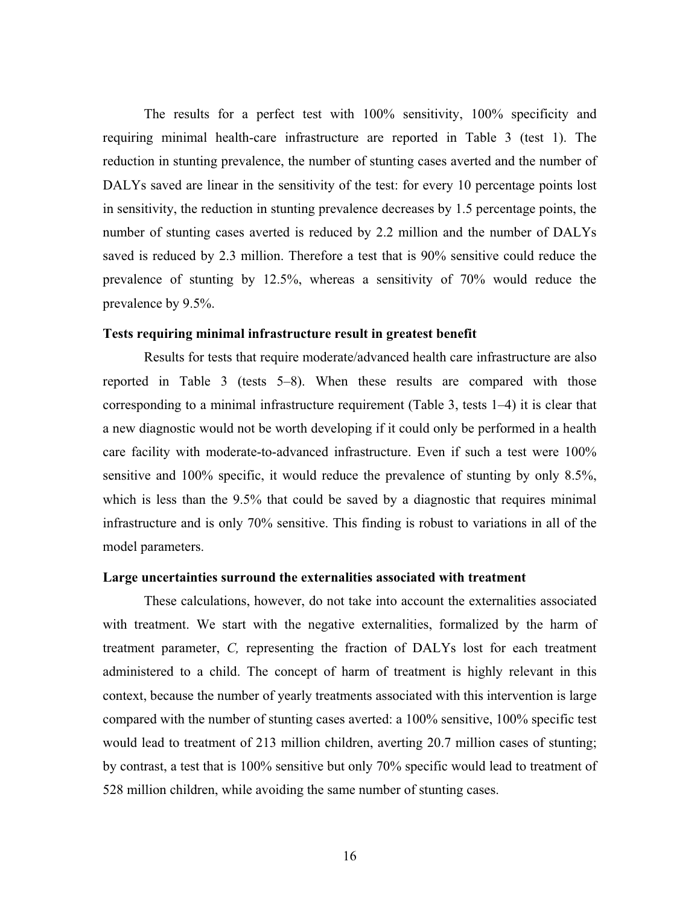The results for a perfect test with 100% sensitivity, 100% specificity and requiring minimal health-care infrastructure are reported in Table 3 (test 1). The reduction in stunting prevalence, the number of stunting cases averted and the number of DALYs saved are linear in the sensitivity of the test: for every 10 percentage points lost in sensitivity, the reduction in stunting prevalence decreases by 1.5 percentage points, the number of stunting cases averted is reduced by 2.2 million and the number of DALYs saved is reduced by 2.3 million. Therefore a test that is 90% sensitive could reduce the prevalence of stunting by 12.5%, whereas a sensitivity of 70% would reduce the prevalence by 9.5%.

#### **Tests requiring minimal infrastructure result in greatest benefit**

Results for tests that require moderate/advanced health care infrastructure are also reported in Table 3 (tests 5–8). When these results are compared with those corresponding to a minimal infrastructure requirement (Table 3, tests 1–4) it is clear that a new diagnostic would not be worth developing if it could only be performed in a health care facility with moderate-to-advanced infrastructure. Even if such a test were 100% sensitive and 100% specific, it would reduce the prevalence of stunting by only 8.5%, which is less than the 9.5% that could be saved by a diagnostic that requires minimal infrastructure and is only 70% sensitive. This finding is robust to variations in all of the model parameters.

#### **Large uncertainties surround the externalities associated with treatment**

These calculations, however, do not take into account the externalities associated with treatment. We start with the negative externalities, formalized by the harm of treatment parameter, *C,* representing the fraction of DALYs lost for each treatment administered to a child. The concept of harm of treatment is highly relevant in this context, because the number of yearly treatments associated with this intervention is large compared with the number of stunting cases averted: a 100% sensitive, 100% specific test would lead to treatment of 213 million children, averting 20.7 million cases of stunting; by contrast, a test that is 100% sensitive but only 70% specific would lead to treatment of 528 million children, while avoiding the same number of stunting cases.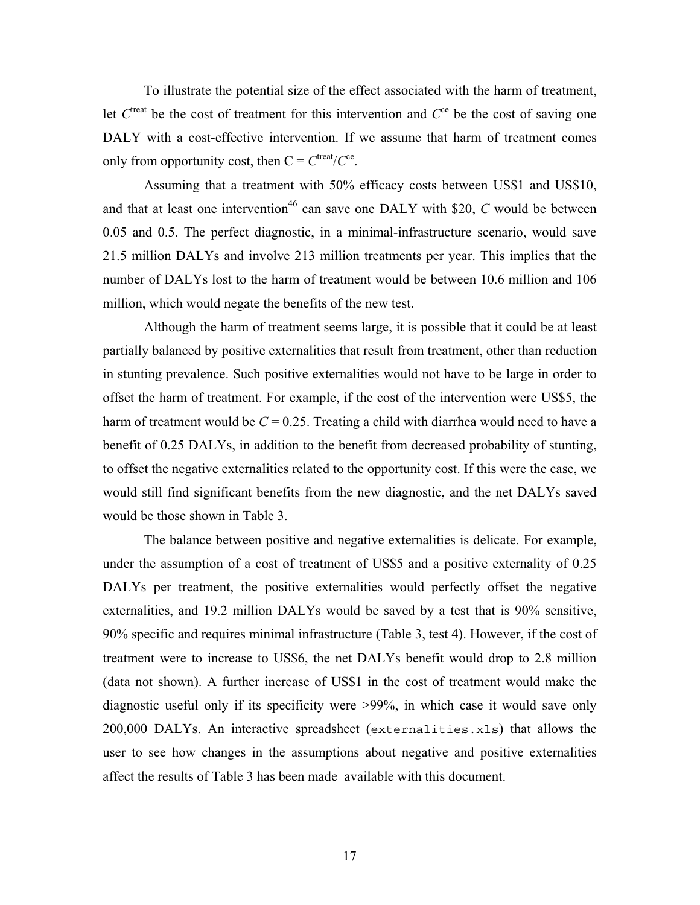To illustrate the potential size of the effect associated with the harm of treatment, let  $C<sup>tree</sup>$  be the cost of treatment for this intervention and  $C<sup>ce</sup>$  be the cost of saving one DALY with a cost-effective intervention. If we assume that harm of treatment comes only from opportunity cost, then  $C = C^{treat}/C^{ce}$ .

Assuming that a treatment with 50% efficacy costs between US\$1 and US\$10, and that at least one intervention<sup>46</sup> can save one DALY with \$20,  $C$  would be between 0.05 and 0.5. The perfect diagnostic, in a minimal-infrastructure scenario, would save 21.5 million DALYs and involve 213 million treatments per year. This implies that the number of DALYs lost to the harm of treatment would be between 10.6 million and 106 million, which would negate the benefits of the new test.

Although the harm of treatment seems large, it is possible that it could be at least partially balanced by positive externalities that result from treatment, other than reduction in stunting prevalence. Such positive externalities would not have to be large in order to offset the harm of treatment. For example, if the cost of the intervention were US\$5, the harm of treatment would be  $C = 0.25$ . Treating a child with diarrhea would need to have a benefit of 0.25 DALYs, in addition to the benefit from decreased probability of stunting, to offset the negative externalities related to the opportunity cost. If this were the case, we would still find significant benefits from the new diagnostic, and the net DALYs saved would be those shown in Table 3.

The balance between positive and negative externalities is delicate. For example, under the assumption of a cost of treatment of US\$5 and a positive externality of 0.25 DALYs per treatment, the positive externalities would perfectly offset the negative externalities, and 19.2 million DALYs would be saved by a test that is 90% sensitive, 90% specific and requires minimal infrastructure (Table 3, test 4). However, if the cost of treatment were to increase to US\$6, the net DALYs benefit would drop to 2.8 million (data not shown). A further increase of US\$1 in the cost of treatment would make the diagnostic useful only if its specificity were >99%, in which case it would save only 200,000 DALYs. An interactive spreadsheet (externalities.xls) that allows the user to see how changes in the assumptions about negative and positive externalities affect the results of Table 3 has been made available with this document.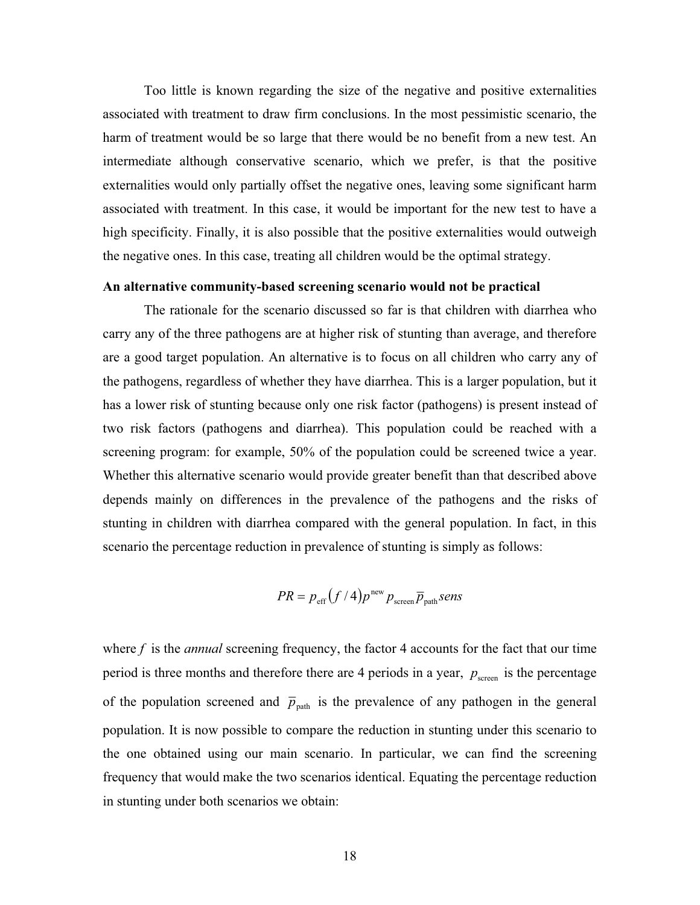Too little is known regarding the size of the negative and positive externalities associated with treatment to draw firm conclusions. In the most pessimistic scenario, the harm of treatment would be so large that there would be no benefit from a new test. An intermediate although conservative scenario, which we prefer, is that the positive externalities would only partially offset the negative ones, leaving some significant harm associated with treatment. In this case, it would be important for the new test to have a high specificity. Finally, it is also possible that the positive externalities would outweigh the negative ones. In this case, treating all children would be the optimal strategy.

#### **An alternative community-based screening scenario would not be practical**

The rationale for the scenario discussed so far is that children with diarrhea who carry any of the three pathogens are at higher risk of stunting than average, and therefore are a good target population. An alternative is to focus on all children who carry any of the pathogens, regardless of whether they have diarrhea. This is a larger population, but it has a lower risk of stunting because only one risk factor (pathogens) is present instead of two risk factors (pathogens and diarrhea). This population could be reached with a screening program: for example, 50% of the population could be screened twice a year. Whether this alternative scenario would provide greater benefit than that described above depends mainly on differences in the prevalence of the pathogens and the risks of stunting in children with diarrhea compared with the general population. In fact, in this scenario the percentage reduction in prevalence of stunting is simply as follows:

$$
PR = p_{\rm eff} (f/4) p^{\rm new} p_{\rm screen} \overline{p}_{\rm path} sens
$$

where f is the *annual* screening frequency, the factor 4 accounts for the fact that our time period is three months and therefore there are 4 periods in a year,  $p_{\text{screen}}$  is the percentage of the population screened and  $\bar{p}_{\text{path}}$  is the prevalence of any pathogen in the general population. It is now possible to compare the reduction in stunting under this scenario to the one obtained using our main scenario. In particular, we can find the screening frequency that would make the two scenarios identical. Equating the percentage reduction in stunting under both scenarios we obtain: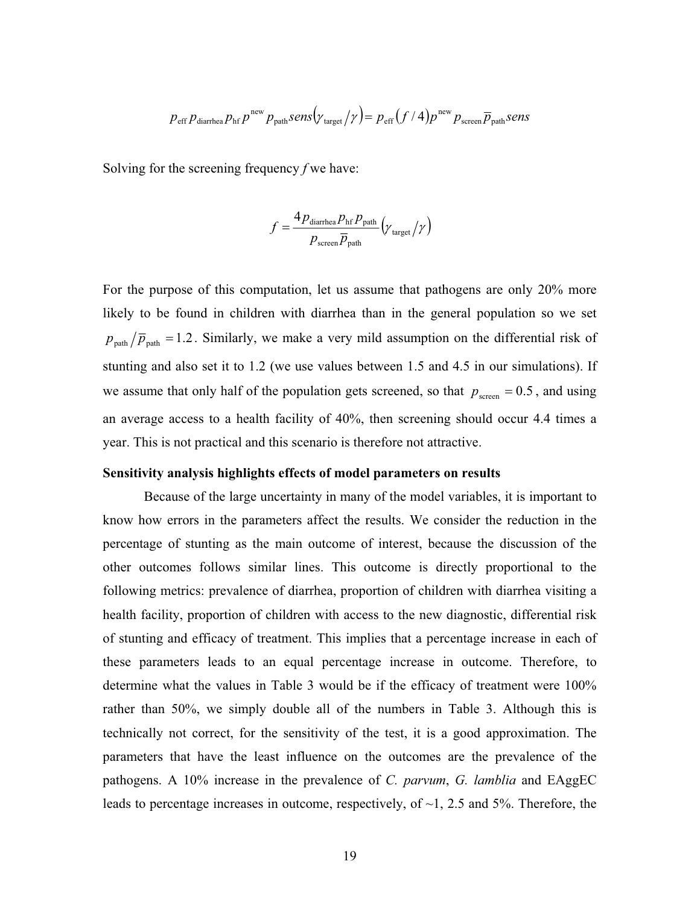$$
p_{\text{eff}} p_{\text{diarthea}} p_{\text{hf}} p^{\text{new}} p_{\text{path}} sens(\gamma_{\text{target}}/\gamma) = p_{\text{eff}} (f/4) p^{\text{new}} p_{\text{screen}} \overline{p}_{\text{path}} sens
$$

Solving for the screening frequency *f* we have:

$$
f = \frac{4 p_{\text{diarhea}} p_{\text{hf}} p_{\text{path}}}{p_{\text{screen}} \overline{p}_{\text{path}}} \left(\gamma_{\text{target}} / \gamma\right)
$$

For the purpose of this computation, let us assume that pathogens are only 20% more likely to be found in children with diarrhea than in the general population so we set  $p_{\text{path}}/\overline{p}_{\text{path}} = 1.2$ . Similarly, we make a very mild assumption on the differential risk of stunting and also set it to 1.2 (we use values between 1.5 and 4.5 in our simulations). If we assume that only half of the population gets screened, so that  $p_{\text{screen}} = 0.5$ , and using an average access to a health facility of 40%, then screening should occur 4.4 times a year. This is not practical and this scenario is therefore not attractive.

# **Sensitivity analysis highlights effects of model parameters on results**

Because of the large uncertainty in many of the model variables, it is important to know how errors in the parameters affect the results. We consider the reduction in the percentage of stunting as the main outcome of interest, because the discussion of the other outcomes follows similar lines. This outcome is directly proportional to the following metrics: prevalence of diarrhea, proportion of children with diarrhea visiting a health facility, proportion of children with access to the new diagnostic, differential risk of stunting and efficacy of treatment. This implies that a percentage increase in each of these parameters leads to an equal percentage increase in outcome. Therefore, to determine what the values in Table 3 would be if the efficacy of treatment were 100% rather than 50%, we simply double all of the numbers in Table 3. Although this is technically not correct, for the sensitivity of the test, it is a good approximation. The parameters that have the least influence on the outcomes are the prevalence of the pathogens. A 10% increase in the prevalence of *C. parvum*, *G. lamblia* and EAggEC leads to percentage increases in outcome, respectively, of  $\sim$ 1, 2.5 and 5%. Therefore, the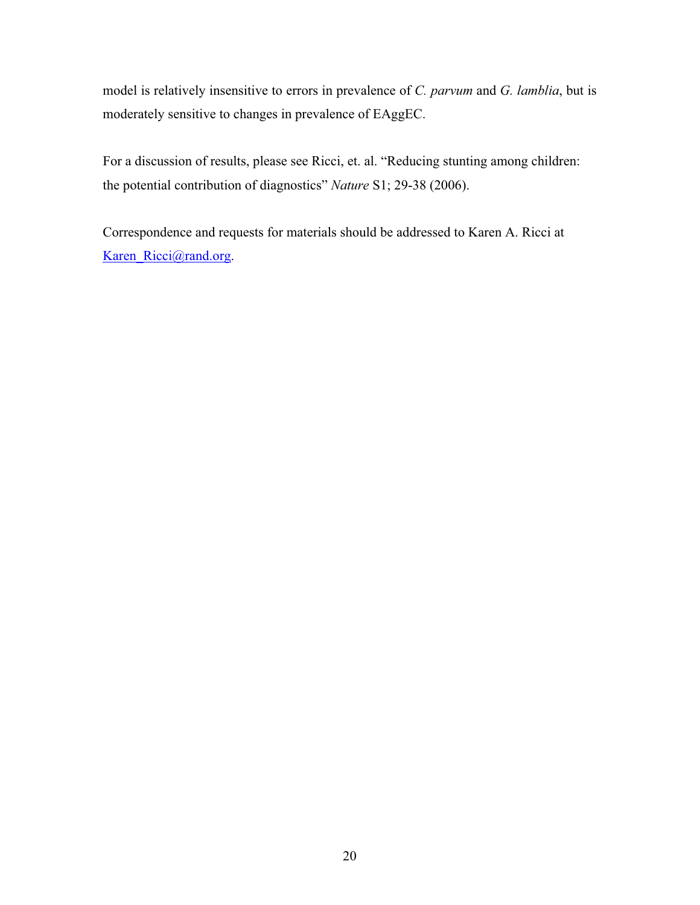model is relatively insensitive to errors in prevalence of *C. parvum* and *G. lamblia*, but is moderately sensitive to changes in prevalence of EAggEC.

For a discussion of results, please see Ricci, et. al. "Reducing stunting among children: the potential contribution of diagnostics" *Nature* S1; 29-38 (2006).

Correspondence and requests for materials should be addressed to Karen A. Ricci at Karen\_Ricci@rand.org.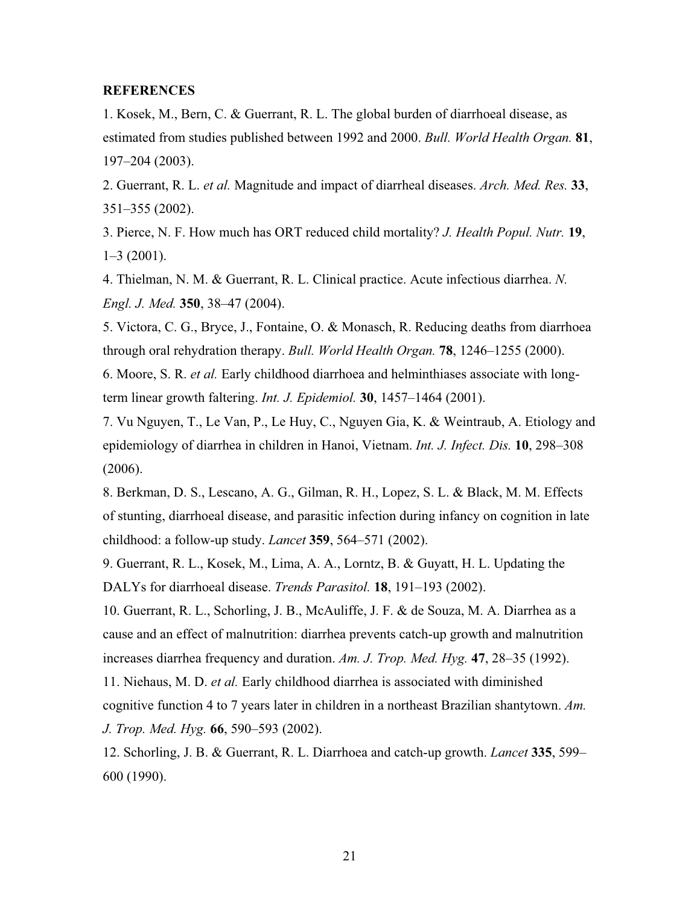# **REFERENCES**

1. Kosek, M., Bern, C. & Guerrant, R. L. The global burden of diarrhoeal disease, as estimated from studies published between 1992 and 2000. *Bull. World Health Organ.* **81**, 197–204 (2003).

2. Guerrant, R. L. *et al.* Magnitude and impact of diarrheal diseases. *Arch. Med. Res.* **33**, 351–355 (2002).

3. Pierce, N. F. How much has ORT reduced child mortality? *J. Health Popul. Nutr.* **19**, 1–3 (2001).

4. Thielman, N. M. & Guerrant, R. L. Clinical practice. Acute infectious diarrhea. *N. Engl. J. Med.* **350**, 38–47 (2004).

5. Victora, C. G., Bryce, J., Fontaine, O. & Monasch, R. Reducing deaths from diarrhoea through oral rehydration therapy. *Bull. World Health Organ.* **78**, 1246–1255 (2000).

6. Moore, S. R. *et al.* Early childhood diarrhoea and helminthiases associate with longterm linear growth faltering. *Int. J. Epidemiol.* **30**, 1457–1464 (2001).

7. Vu Nguyen, T., Le Van, P., Le Huy, C., Nguyen Gia, K. & Weintraub, A. Etiology and epidemiology of diarrhea in children in Hanoi, Vietnam. *Int. J. Infect. Dis.* **10**, 298–308 (2006).

8. Berkman, D. S., Lescano, A. G., Gilman, R. H., Lopez, S. L. & Black, M. M. Effects of stunting, diarrhoeal disease, and parasitic infection during infancy on cognition in late childhood: a follow-up study. *Lancet* **359**, 564–571 (2002).

9. Guerrant, R. L., Kosek, M., Lima, A. A., Lorntz, B. & Guyatt, H. L. Updating the DALYs for diarrhoeal disease. *Trends Parasitol.* **18**, 191–193 (2002).

10. Guerrant, R. L., Schorling, J. B., McAuliffe, J. F. & de Souza, M. A. Diarrhea as a cause and an effect of malnutrition: diarrhea prevents catch-up growth and malnutrition increases diarrhea frequency and duration. *Am. J. Trop. Med. Hyg.* **47**, 28–35 (1992).

11. Niehaus, M. D. *et al.* Early childhood diarrhea is associated with diminished cognitive function 4 to 7 years later in children in a northeast Brazilian shantytown. *Am. J. Trop. Med. Hyg.* **66**, 590–593 (2002).

12. Schorling, J. B. & Guerrant, R. L. Diarrhoea and catch-up growth. *Lancet* **335**, 599– 600 (1990).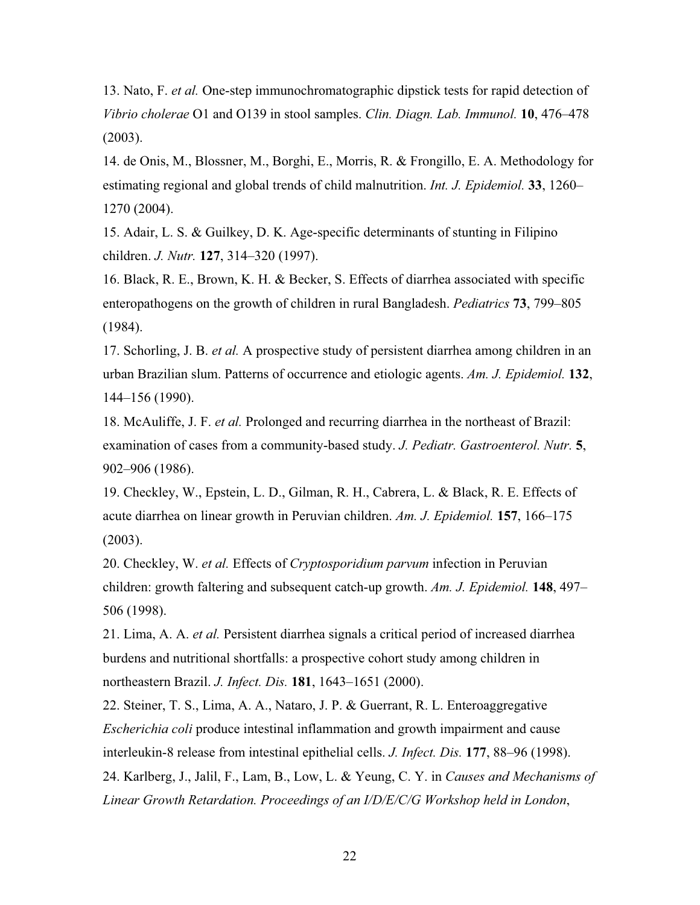13. Nato, F. *et al.* One-step immunochromatographic dipstick tests for rapid detection of *Vibrio cholerae* O1 and O139 in stool samples. *Clin. Diagn. Lab. Immunol.* **10**, 476–478 (2003).

14. de Onis, M., Blossner, M., Borghi, E., Morris, R. & Frongillo, E. A. Methodology for estimating regional and global trends of child malnutrition. *Int. J. Epidemiol.* **33**, 1260– 1270 (2004).

15. Adair, L. S. & Guilkey, D. K. Age-specific determinants of stunting in Filipino children. *J. Nutr.* **127**, 314–320 (1997).

16. Black, R. E., Brown, K. H. & Becker, S. Effects of diarrhea associated with specific enteropathogens on the growth of children in rural Bangladesh. *Pediatrics* **73**, 799–805 (1984).

17. Schorling, J. B. *et al.* A prospective study of persistent diarrhea among children in an urban Brazilian slum. Patterns of occurrence and etiologic agents. *Am. J. Epidemiol.* **132**, 144–156 (1990).

18. McAuliffe, J. F. *et al.* Prolonged and recurring diarrhea in the northeast of Brazil: examination of cases from a community-based study. *J. Pediatr. Gastroenterol. Nutr.* **5**, 902–906 (1986).

19. Checkley, W., Epstein, L. D., Gilman, R. H., Cabrera, L. & Black, R. E. Effects of acute diarrhea on linear growth in Peruvian children. *Am. J. Epidemiol.* **157**, 166–175 (2003).

20. Checkley, W. *et al.* Effects of *Cryptosporidium parvum* infection in Peruvian children: growth faltering and subsequent catch-up growth. *Am. J. Epidemiol.* **148**, 497– 506 (1998).

21. Lima, A. A. *et al.* Persistent diarrhea signals a critical period of increased diarrhea burdens and nutritional shortfalls: a prospective cohort study among children in northeastern Brazil. *J. Infect. Dis.* **181**, 1643–1651 (2000).

22. Steiner, T. S., Lima, A. A., Nataro, J. P. & Guerrant, R. L. Enteroaggregative *Escherichia coli* produce intestinal inflammation and growth impairment and cause interleukin-8 release from intestinal epithelial cells. *J. Infect. Dis.* **177**, 88–96 (1998). 24. Karlberg, J., Jalil, F., Lam, B., Low, L. & Yeung, C. Y. in *Causes and Mechanisms of Linear Growth Retardation. Proceedings of an I/D/E/C/G Workshop held in London*,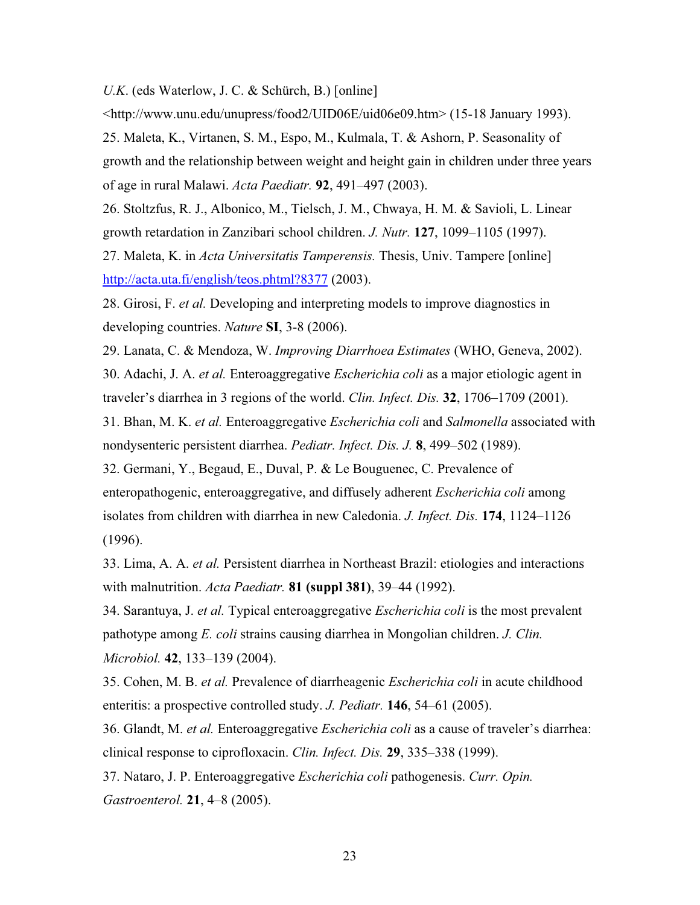*U.K*. (eds Waterlow, J. C. & Schürch, B.) [online]

<http://www.unu.edu/unupress/food2/UID06E/uid06e09.htm> (15-18 January 1993).

25. Maleta, K., Virtanen, S. M., Espo, M., Kulmala, T. & Ashorn, P. Seasonality of growth and the relationship between weight and height gain in children under three years of age in rural Malawi. *Acta Paediatr.* **92**, 491–497 (2003).

26. Stoltzfus, R. J., Albonico, M., Tielsch, J. M., Chwaya, H. M. & Savioli, L. Linear growth retardation in Zanzibari school children. *J. Nutr.* **127**, 1099–1105 (1997).

27. Maleta, K. in *Acta Universitatis Tamperensis.* Thesis, Univ. Tampere [online] http://acta.uta.fi/english/teos.phtml?8377 (2003).

28. Girosi, F. *et al.* Developing and interpreting models to improve diagnostics in developing countries. *Nature* **SI**, 3-8 (2006).

29. Lanata, C. & Mendoza, W. *Improving Diarrhoea Estimates* (WHO, Geneva, 2002).

30. Adachi, J. A. *et al.* Enteroaggregative *Escherichia coli* as a major etiologic agent in traveler's diarrhea in 3 regions of the world. *Clin. Infect. Dis.* **32**, 1706–1709 (2001).

31. Bhan, M. K. *et al.* Enteroaggregative *Escherichia coli* and *Salmonella* associated with nondysenteric persistent diarrhea. *Pediatr. Infect. Dis. J.* **8**, 499–502 (1989).

32. Germani, Y., Begaud, E., Duval, P. & Le Bouguenec, C. Prevalence of enteropathogenic, enteroaggregative, and diffusely adherent *Escherichia coli* among isolates from children with diarrhea in new Caledonia. *J. Infect. Dis.* **174**, 1124–1126 (1996).

33. Lima, A. A. *et al.* Persistent diarrhea in Northeast Brazil: etiologies and interactions with malnutrition. *Acta Paediatr.* **81 (suppl 381)**, 39–44 (1992).

34. Sarantuya, J. *et al.* Typical enteroaggregative *Escherichia coli* is the most prevalent pathotype among *E. coli* strains causing diarrhea in Mongolian children. *J. Clin. Microbiol.* **42**, 133–139 (2004).

35. Cohen, M. B. *et al.* Prevalence of diarrheagenic *Escherichia coli* in acute childhood enteritis: a prospective controlled study. *J. Pediatr.* **146**, 54–61 (2005).

36. Glandt, M. *et al.* Enteroaggregative *Escherichia coli* as a cause of traveler's diarrhea: clinical response to ciprofloxacin. *Clin. Infect. Dis.* **29**, 335–338 (1999).

37. Nataro, J. P. Enteroaggregative *Escherichia coli* pathogenesis. *Curr. Opin. Gastroenterol.* **21**, 4–8 (2005).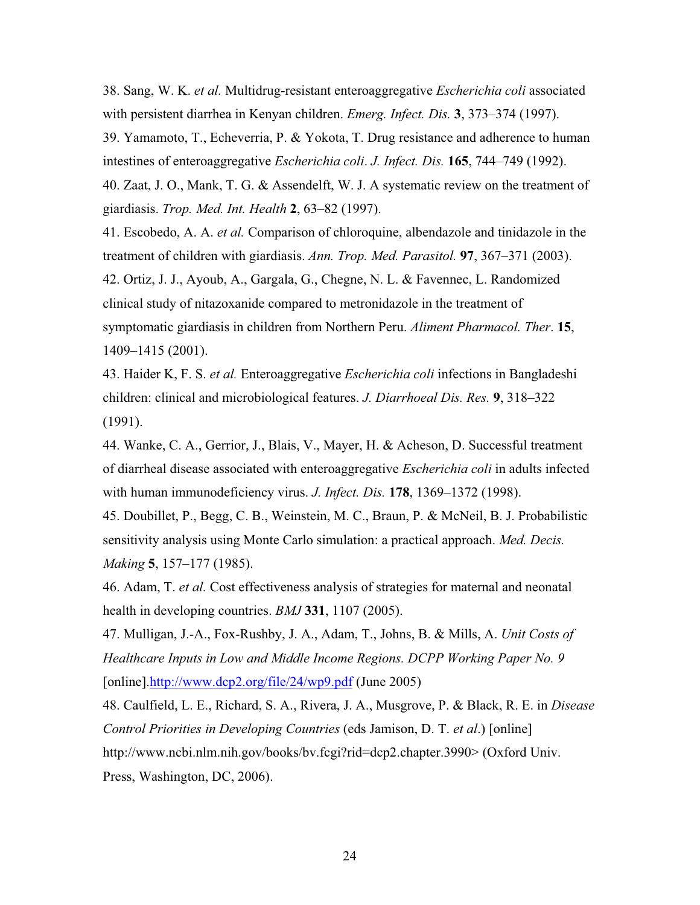38. Sang, W. K. *et al.* Multidrug-resistant enteroaggregative *Escherichia coli* associated with persistent diarrhea in Kenyan children. *Emerg. Infect. Dis.* **3**, 373–374 (1997).

39. Yamamoto, T., Echeverria, P. & Yokota, T. Drug resistance and adherence to human intestines of enteroaggregative *Escherichia coli*. *J. Infect. Dis.* **165**, 744–749 (1992).

40. Zaat, J. O., Mank, T. G. & Assendelft, W. J. A systematic review on the treatment of giardiasis. *Trop. Med. Int. Health* **2**, 63–82 (1997).

41. Escobedo, A. A. *et al.* Comparison of chloroquine, albendazole and tinidazole in the treatment of children with giardiasis. *Ann. Trop. Med. Parasitol.* **97**, 367–371 (2003).

42. Ortiz, J. J., Ayoub, A., Gargala, G., Chegne, N. L. & Favennec, L. Randomized clinical study of nitazoxanide compared to metronidazole in the treatment of symptomatic giardiasis in children from Northern Peru. *Aliment Pharmacol. Ther*. **15**, 1409–1415 (2001).

43. Haider K, F. S. *et al.* Enteroaggregative *Escherichia coli* infections in Bangladeshi children: clinical and microbiological features. *J. Diarrhoeal Dis. Res.* **9**, 318–322 (1991).

44. Wanke, C. A., Gerrior, J., Blais, V., Mayer, H. & Acheson, D. Successful treatment of diarrheal disease associated with enteroaggregative *Escherichia coli* in adults infected with human immunodeficiency virus. *J. Infect. Dis.* **178**, 1369–1372 (1998).

45. Doubillet, P., Begg, C. B., Weinstein, M. C., Braun, P. & McNeil, B. J. Probabilistic sensitivity analysis using Monte Carlo simulation: a practical approach. *Med. Decis. Making* **5**, 157–177 (1985).

46. Adam, T. *et al.* Cost effectiveness analysis of strategies for maternal and neonatal health in developing countries. *BMJ* **331**, 1107 (2005).

47. Mulligan, J.-A., Fox-Rushby, J. A., Adam, T., Johns, B. & Mills, A. *Unit Costs of Healthcare Inputs in Low and Middle Income Regions. DCPP Working Paper No. 9*  [online].http://www.dcp2.org/file/24/wp9.pdf (June 2005)

48. Caulfield, L. E., Richard, S. A., Rivera, J. A., Musgrove, P. & Black, R. E. in *Disease Control Priorities in Developing Countries* (eds Jamison, D. T. *et al*.) [online] http://www.ncbi.nlm.nih.gov/books/bv.fcgi?rid=dcp2.chapter.3990> (Oxford Univ. Press, Washington, DC, 2006).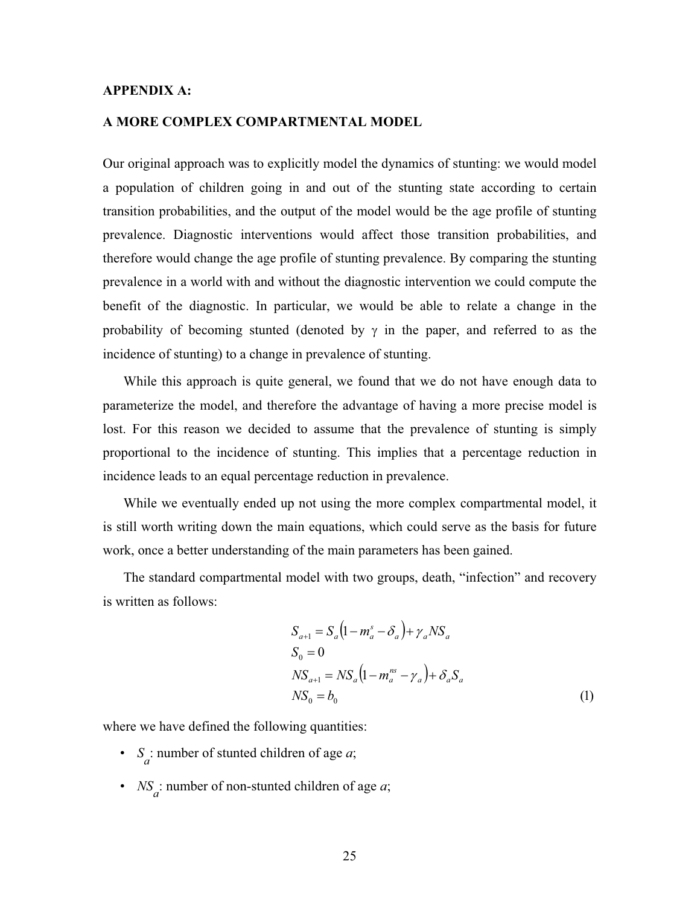# **APPENDIX A:**

### **A MORE COMPLEX COMPARTMENTAL MODEL**

Our original approach was to explicitly model the dynamics of stunting: we would model a population of children going in and out of the stunting state according to certain transition probabilities, and the output of the model would be the age profile of stunting prevalence. Diagnostic interventions would affect those transition probabilities, and therefore would change the age profile of stunting prevalence. By comparing the stunting prevalence in a world with and without the diagnostic intervention we could compute the benefit of the diagnostic. In particular, we would be able to relate a change in the probability of becoming stunted (denoted by  $\gamma$  in the paper, and referred to as the incidence of stunting) to a change in prevalence of stunting.

While this approach is quite general, we found that we do not have enough data to parameterize the model, and therefore the advantage of having a more precise model is lost. For this reason we decided to assume that the prevalence of stunting is simply proportional to the incidence of stunting. This implies that a percentage reduction in incidence leads to an equal percentage reduction in prevalence.

While we eventually ended up not using the more complex compartmental model, it is still worth writing down the main equations, which could serve as the basis for future work, once a better understanding of the main parameters has been gained.

The standard compartmental model with two groups, death, "infection" and recovery is written as follows:

$$
S_{a+1} = S_a \left( 1 - m_a^s - \delta_a \right) + \gamma_a N S_a
$$
  
\n
$$
S_0 = 0
$$
  
\n
$$
N S_{a+1} = N S_a \left( 1 - m_a^{ns} - \gamma_a \right) + \delta_a S_a
$$
  
\n
$$
N S_0 = b_0
$$
\n(1)

where we have defined the following quantities:

- $S_a$ : number of stunted children of age *a*;
- *NS*<sub>*a*</sub>: number of non-stunted children of age *a*;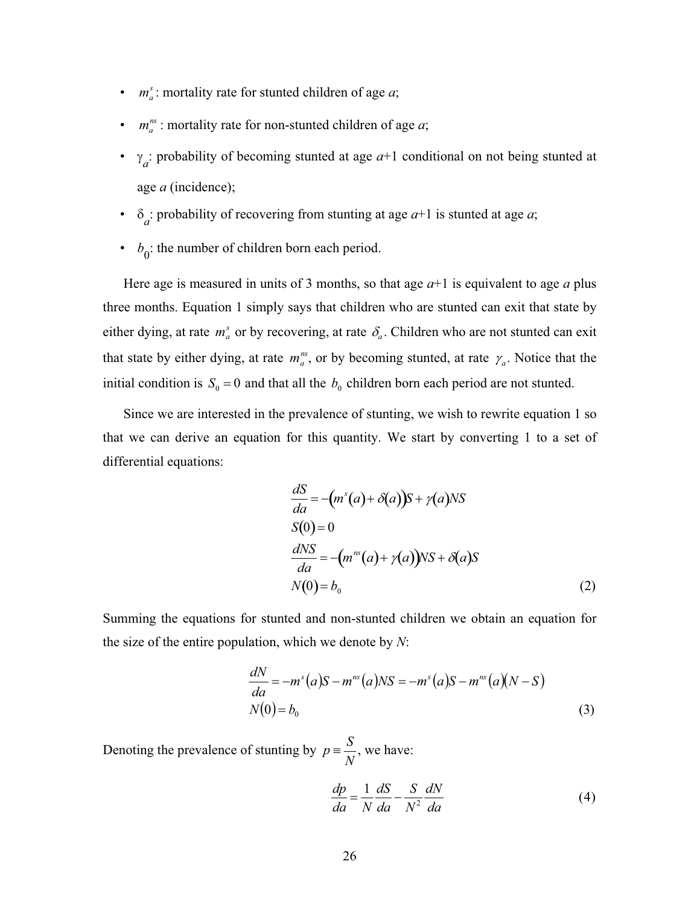- $m_a^s$ : mortality rate for stunted children of age *a*;
- $m_a^{ns}$ : mortality rate for non-stunted children of age *a*;
- $\gamma_a$ : probability of becoming stunted at age  $a+1$  conditional on not being stunted at age *a* (incidence);
- $\delta_a$ : probability of recovering from stunting at age  $a+1$  is stunted at age  $a$ ;
- $b_0$ : the number of children born each period.

Here age is measured in units of 3 months, so that age  $a+1$  is equivalent to age  $a$  plus three months. Equation 1 simply says that children who are stunted can exit that state by either dying, at rate  $m_a^s$  or by recovering, at rate  $\delta_a$ . Children who are not stunted can exit that state by either dying, at rate  $m_a^m$ , or by becoming stunted, at rate  $\gamma_a$ . Notice that the initial condition is  $S_0 = 0$  and that all the  $b_0$  children born each period are not stunted.

Since we are interested in the prevalence of stunting, we wish to rewrite equation 1 so that we can derive an equation for this quantity. We start by converting 1 to a set of differential equations:

$$
\frac{dS}{da} = -(m^s(a) + \delta(a))S + \gamma(a)NS
$$
  
\n
$$
S(0) = 0
$$
  
\n
$$
\frac{dNS}{da} = -(m^{ns}(a) + \gamma(a))NS + \delta(a)S
$$
  
\n
$$
N(0) = b_0
$$
\n(2)

Summing the equations for stunted and non-stunted children we obtain an equation for the size of the entire population, which we denote by *N*:

$$
\frac{dN}{da} = -m^{s}(a)S - m^{ns}(a)NS = -m^{s}(a)S - m^{ns}(a)(N - S)
$$
  
N(0) = b<sub>0</sub> (3)

Denoting the prevalence of stunting by  $p = \frac{S}{N}$ , we have:

$$
\frac{dp}{da} = \frac{1}{N} \frac{dS}{da} - \frac{S}{N^2} \frac{dN}{da}
$$
(4)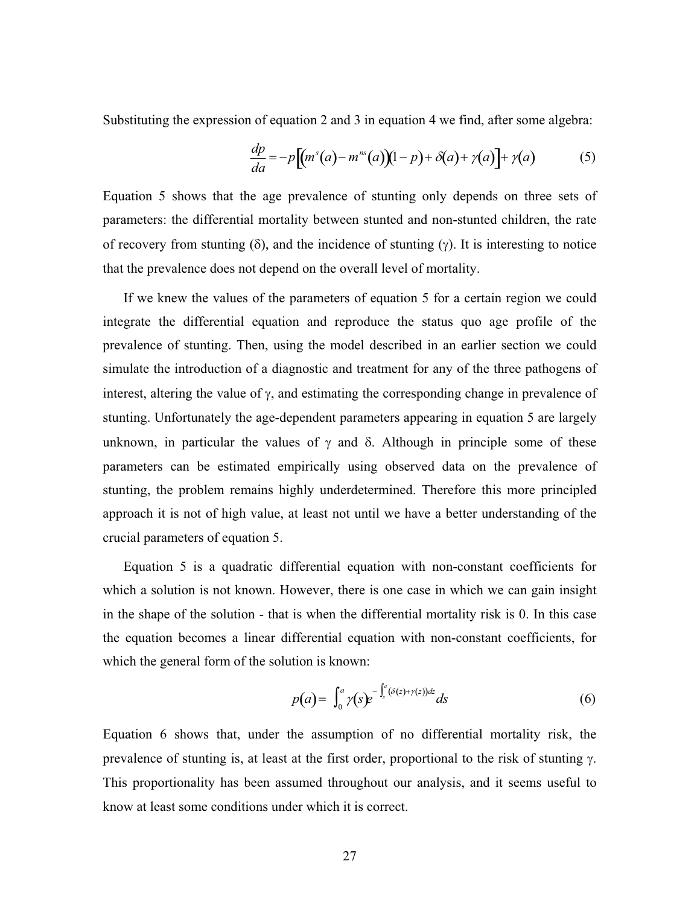Substituting the expression of equation 2 and 3 in equation 4 we find, after some algebra:

$$
\frac{dp}{da} = -p\left[\left(m^s(a) - m^{ns}(a)\right)(1-p) + \delta(a) + \gamma(a)\right] + \gamma(a) \tag{5}
$$

Equation 5 shows that the age prevalence of stunting only depends on three sets of parameters: the differential mortality between stunted and non-stunted children, the rate of recovery from stunting ( $\delta$ ), and the incidence of stunting ( $\gamma$ ). It is interesting to notice that the prevalence does not depend on the overall level of mortality.

If we knew the values of the parameters of equation 5 for a certain region we could integrate the differential equation and reproduce the status quo age profile of the prevalence of stunting. Then, using the model described in an earlier section we could simulate the introduction of a diagnostic and treatment for any of the three pathogens of interest, altering the value of  $\gamma$ , and estimating the corresponding change in prevalence of stunting. Unfortunately the age-dependent parameters appearing in equation 5 are largely unknown, in particular the values of  $\gamma$  and  $\delta$ . Although in principle some of these parameters can be estimated empirically using observed data on the prevalence of stunting, the problem remains highly underdetermined. Therefore this more principled approach it is not of high value, at least not until we have a better understanding of the crucial parameters of equation 5.

Equation 5 is a quadratic differential equation with non-constant coefficients for which a solution is not known. However, there is one case in which we can gain insight in the shape of the solution - that is when the differential mortality risk is 0. In this case the equation becomes a linear differential equation with non-constant coefficients, for which the general form of the solution is known:

$$
p(a) = \int_0^a \gamma(s) e^{-\int_s^a (\delta(z) + \gamma(z))dz} ds \tag{6}
$$

Equation 6 shows that, under the assumption of no differential mortality risk, the prevalence of stunting is, at least at the first order, proportional to the risk of stunting  $\gamma$ . This proportionality has been assumed throughout our analysis, and it seems useful to know at least some conditions under which it is correct.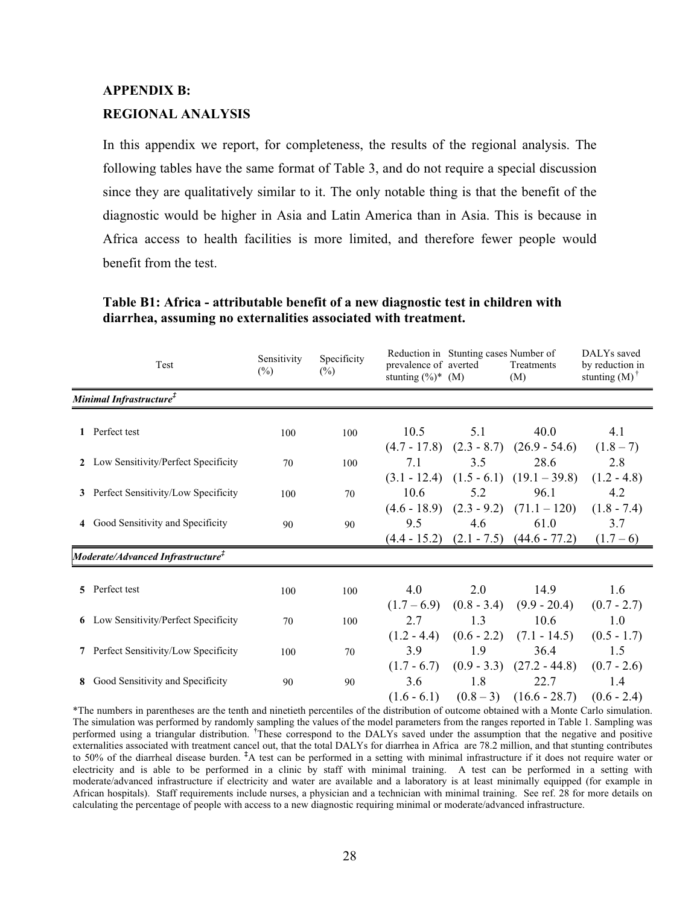# **APPENDIX B: REGIONAL ANALYSIS**

In this appendix we report, for completeness, the results of the regional analysis. The following tables have the same format of Table 3, and do not require a special discussion since they are qualitatively similar to it. The only notable thing is that the benefit of the diagnostic would be higher in Asia and Latin America than in Asia. This is because in Africa access to health facilities is more limited, and therefore fewer people would benefit from the test.

| Test                                                    | Sensitivity<br>$\frac{6}{2}$ | Specificity<br>$\frac{6}{2}$ | prevalence of averted<br>stunting $(\%)^*$ (M) | Reduction in Stunting cases Number of | Treatments<br>(M)                            | DALYs saved<br>by reduction in<br>stunting $(M)$ <sup>†</sup> |
|---------------------------------------------------------|------------------------------|------------------------------|------------------------------------------------|---------------------------------------|----------------------------------------------|---------------------------------------------------------------|
| Minimal Infrastructure <sup>‡</sup>                     |                              |                              |                                                |                                       |                                              |                                                               |
| 1 Perfect test                                          | 100                          | 100                          | 10.5                                           | 5.1                                   | 40.0                                         | 4.1                                                           |
|                                                         |                              |                              |                                                |                                       | $(4.7 - 17.8)$ $(2.3 - 8.7)$ $(26.9 - 54.6)$ | $(1.8 - 7)$                                                   |
| 2 Low Sensitivity/Perfect Specificity                   | 70                           | 100                          | 7.1                                            | 3.5                                   | 28.6                                         | 2.8                                                           |
|                                                         |                              |                              |                                                |                                       | $(3.1 - 12.4)$ $(1.5 - 6.1)$ $(19.1 - 39.8)$ | $(1.2 - 4.8)$                                                 |
| 3 Perfect Sensitivity/Low Specificity                   | 100                          | 70                           | 10.6                                           | 5.2                                   | 96.1                                         | 4.2                                                           |
|                                                         |                              |                              |                                                |                                       | $(4.6 - 18.9)$ $(2.3 - 9.2)$ $(71.1 - 120)$  | $(1.8 - 7.4)$                                                 |
| 4 Good Sensitivity and Specificity                      | 90                           | 90                           | 9.5                                            | 4.6                                   | 61.0                                         | 3.7                                                           |
|                                                         |                              |                              | $(4.4 - 15.2)$                                 |                                       | $(2.1 - 7.5)$ $(44.6 - 77.2)$                | $(1.7-6)$                                                     |
| $\bm{Model}$ rate/Advanced Infrastructure $^{\ddagger}$ |                              |                              |                                                |                                       |                                              |                                                               |
|                                                         |                              |                              |                                                |                                       |                                              |                                                               |
| 5 Perfect test                                          | 100                          | 100                          | 4.0                                            | 2.0                                   | 14.9                                         | 1.6                                                           |
|                                                         |                              |                              | $(1.7-6.9)$                                    | $(0.8 - 3.4)$                         | $(9.9 - 20.4)$                               | $(0.7 - 2.7)$                                                 |
| <b>6</b> Low Sensitivity/Perfect Specificity            | 70                           | 100                          | 2.7                                            | 1.3                                   | 10.6                                         | 1.0                                                           |
|                                                         |                              |                              | $(1.2 - 4.4)$                                  | $(0.6 - 2.2)$                         | $(7.1 - 14.5)$                               | $(0.5 - 1.7)$                                                 |
| 7 Perfect Sensitivity/Low Specificity                   | 100                          | 70                           | 3.9                                            | 1.9                                   | 36.4                                         | 1.5                                                           |
|                                                         |                              |                              | $(1.7 - 6.7)$                                  | $(0.9 - 3.3)$                         | $(27.2 - 44.8)$                              | $(0.7 - 2.6)$                                                 |
| 8 Good Sensitivity and Specificity                      | 90                           | 90                           | 3.6                                            | 1.8                                   | 22.7                                         | 1.4                                                           |
|                                                         |                              |                              | $(1.6 - 6.1)$                                  |                                       | $(0.8-3)$ $(16.6-28.7)$                      | $(0.6 - 2.4)$                                                 |

# **Table B1: Africa - attributable benefit of a new diagnostic test in children with diarrhea, assuming no externalities associated with treatment.**

\*The numbers in parentheses are the tenth and ninetieth percentiles of the distribution of outcome obtained with a Monte Carlo simulation. The simulation was performed by randomly sampling the values of the model parameters from the ranges reported in Table 1. Sampling was performed using a triangular distribution. **†** These correspond to the DALYs saved under the assumption that the negative and positive externalities associated with treatment cancel out, that the total DALYs for diarrhea in Africa are 78.2 million, and that stunting contributes to 50% of the diarrheal disease burden. <sup>‡</sup>A test can be performed in a setting with minimal infrastructure if it does not require water or electricity and is able to be performed in a clinic by staff with minimal training. A test can be performed in a setting with moderate/advanced infrastructure if electricity and water are available and a laboratory is at least minimally equipped (for example in African hospitals). Staff requirements include nurses, a physician and a technician with minimal training. See ref. 28 for more details on calculating the percentage of people with access to a new diagnostic requiring minimal or moderate/advanced infrastructure.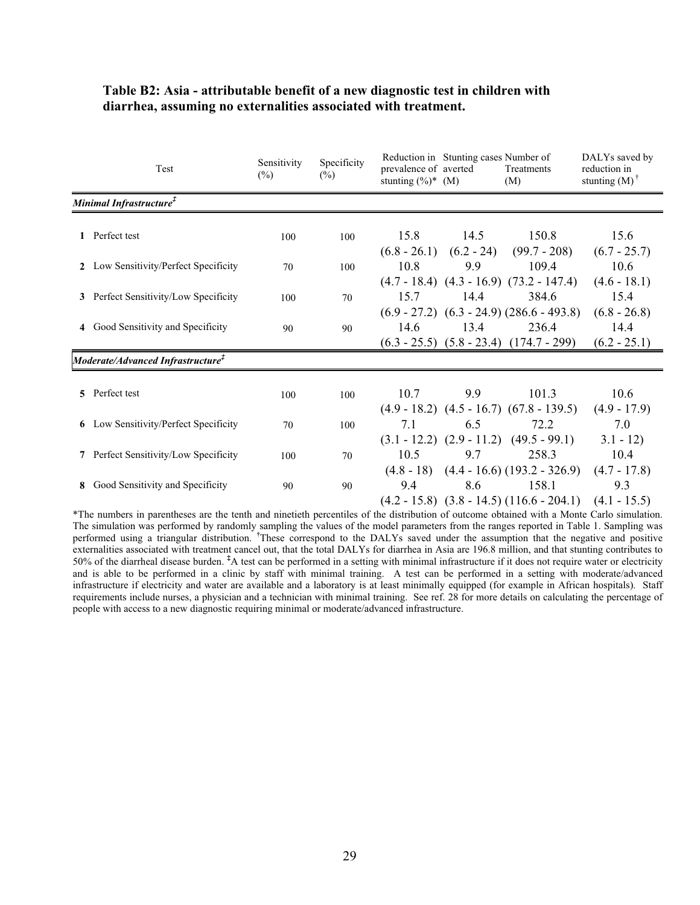|   | Test                                             | Sensitivity<br>$(\%)$ | Specificity<br>$(\%)$ | Reduction in Stunting cases Number of<br>DALYs saved by<br>prevalence of averted<br>reduction in<br>Treatments<br>stunting $(M)$ <sup>†</sup><br>stunting $(\%)^*$ (M)<br>(M) |
|---|--------------------------------------------------|-----------------------|-----------------------|-------------------------------------------------------------------------------------------------------------------------------------------------------------------------------|
|   | Minimal Infrastructure <sup>‡</sup>              |                       |                       |                                                                                                                                                                               |
|   | 1 Perfect test                                   | 100                   | 100                   | 15.8<br>14.5<br>150.8<br>15.6<br>$(6.8 - 26.1)$ $(6.2 - 24)$<br>$(99.7 - 208)$<br>$(6.7 - 25.7)$                                                                              |
|   | 2 Low Sensitivity/Perfect Specificity            | 70                    | 100                   | 10.8<br>9.9<br>109.4<br>10.6                                                                                                                                                  |
|   | 3 Perfect Sensitivity/Low Specificity            | 100                   | 70                    | $(4.7 - 18.4)$ $(4.3 - 16.9)$ $(73.2 - 147.4)$<br>$(4.6 - 18.1)$<br>15.7<br>14.4<br>384.6<br>15.4                                                                             |
|   | 4 Good Sensitivity and Specificity               | 90                    | 90                    | $(6.9 - 27.2)$ $(6.3 - 24.9)$ $(286.6 - 493.8)$<br>$(6.8 - 26.8)$<br>236.4<br>14.6<br>13.4<br>14.4<br>$(6.3 - 25.5)$ $(5.8 - 23.4)$ $(174.7 - 299)$<br>$(6.2 - 25.1)$         |
|   | Moderate/Advanced Infrastructure ${}^{\ddagger}$ |                       |                       |                                                                                                                                                                               |
|   | 5 Perfect test                                   | 100                   | 100                   | 9.9<br>10.7<br>101.3<br>10.6<br>$(4.9 - 18.2)$ $(4.5 - 16.7)$ $(67.8 - 139.5)$<br>$(4.9 - 17.9)$                                                                              |
| 6 | Low Sensitivity/Perfect Specificity              | 70                    | 100                   | 6.5<br>72.2<br>7.0<br>7.1<br>$(3.1 - 12.2)$ $(2.9 - 11.2)$ $(49.5 - 99.1)$<br>$3.1 - 12$                                                                                      |
|   | Perfect Sensitivity/Low Specificity              | 100                   | 70                    | 10.5<br>9.7<br>10.4<br>258.3                                                                                                                                                  |
|   | 8 Good Sensitivity and Specificity               | 90                    | 90                    | $(4.8 - 18)$ $(4.4 - 16.6)$ $(193.2 - 326.9)$<br>$(4.7 - 17.8)$<br>8.6<br>9.4<br>158.1<br>9.3<br>$(4.2 - 15.8)$ $(3.8 - 14.5)$ $(116.6 - 204.1)$<br>$(4.1 - 15.5)$            |

# **Table B2: Asia - attributable benefit of a new diagnostic test in children with diarrhea, assuming no externalities associated with treatment.**

\*The numbers in parentheses are the tenth and ninetieth percentiles of the distribution of outcome obtained with a Monte Carlo simulation. The simulation was performed by randomly sampling the values of the model parameters from the ranges reported in Table 1. Sampling was performed using a triangular distribution. **†** These correspond to the DALYs saved under the assumption that the negative and positive externalities associated with treatment cancel out, that the total DALYs for diarrhea in Asia are 196.8 million, and that stunting contributes to 50% of the diarrheal disease burden.<sup>‡</sup>A test can be performed in a setting and is able to be performed in a clinic by staff with minimal training. A test can be performed in a setting with moderate/advanced infrastructure if electricity and water are available and a laboratory is at least minimally equipped (for example in African hospitals). Staff requirements include nurses, a physician and a technician with minimal training. See ref. 28 for more details on calculating the percentage of people with access to a new diagnostic requiring minimal or moderate/advanced infrastructure.